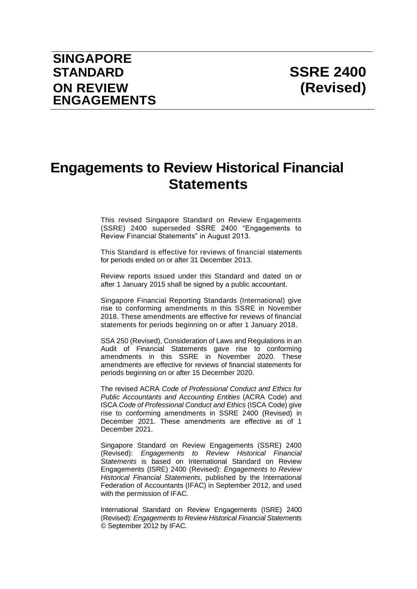# **Engagements to Review Historical Financial Statements**

This revised Singapore Standard on Review Engagements (SSRE) 2400 superseded SSRE 2400 "Engagements to Review Financial Statements" in August 2013.

This Standard is effective for reviews of financial statements for periods ended on or after 31 December 2013.

Review reports issued under this Standard and dated on or after 1 January 2015 shall be signed by a public accountant.

Singapore Financial Reporting Standards (International) give rise to conforming amendments in this SSRE in November 2018. These amendments are effective for reviews of financial statements for periods beginning on or after 1 January 2018.

SSA 250 (Revised), Consideration of Laws and Regulations in an Audit of Financial Statements gave rise to conforming amendments in this SSRE in November 2020. These amendments are effective for reviews of financial statements for periods beginning on or after 15 December 2020.

The revised ACRA *Code of Professional Conduct and Ethics for Public Accountants and Accounting Entities* (ACRA Code) and ISCA *Code of Professional Conduct and Ethics* (ISCA Code) give rise to conforming amendments in SSRE 2400 (Revised) in December 2021. These amendments are effective as of 1 December 2021.

Singapore Standard on Review Engagements (SSRE) 2400 (Revised): *Engagements to Review Historical Financial Statements* is based on International Standard on Review Engagements (ISRE) 2400 (Revised): *Engagements to Review Historical Financial Statements*, published by the International Federation of Accountants (IFAC) in September 2012, and used with the permission of IFAC.

International Standard on Review Engagements (ISRE) 2400 (Revised): *Engagements to Review Historical Financial Statements* © September 2012 by IFAC.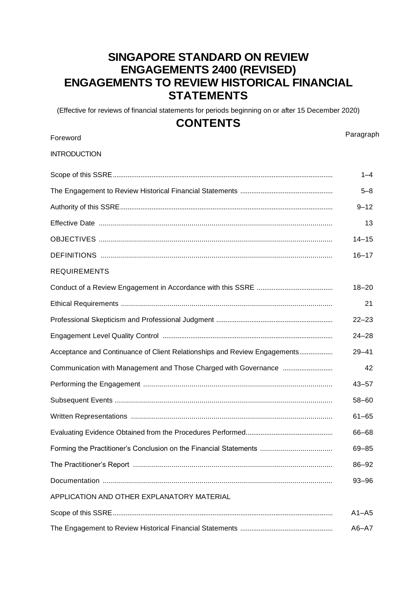## **SINGAPORE STANDARD ON REVIEW ENGAGEMENTS 2400 (REVISED) ENGAGEMENTS TO REVIEW HISTORICAL FINANCIAL STATEMENTS**

(Effective for reviews of financial statements for periods beginning on or after 15 December 2020)

## **CONTENTS**

Paragraph

## **INTRODUCTION**

Foreword

|                                                                           | $1 - 4$   |
|---------------------------------------------------------------------------|-----------|
|                                                                           | $5 - 8$   |
|                                                                           | $9 - 12$  |
|                                                                           | 13        |
|                                                                           | $14 - 15$ |
|                                                                           | $16 - 17$ |
| <b>REQUIREMENTS</b>                                                       |           |
|                                                                           | $18 - 20$ |
|                                                                           | 21        |
|                                                                           | $22 - 23$ |
|                                                                           | $24 - 28$ |
| Acceptance and Continuance of Client Relationships and Review Engagements | $29 - 41$ |
|                                                                           | 42        |
|                                                                           | $43 - 57$ |
|                                                                           | 58-60     |
|                                                                           | $61 - 65$ |
|                                                                           | 66-68     |
| Forming the Practitioner's Conclusion on the Financial Statements         | $69 - 85$ |
|                                                                           | 86-92     |
|                                                                           | $93 - 96$ |
| APPLICATION AND OTHER EXPLANATORY MATERIAL                                |           |
|                                                                           | $A1 - A5$ |
|                                                                           | $A6 - A7$ |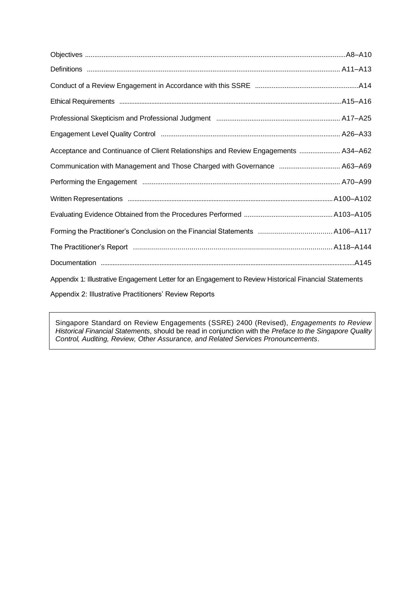| Acceptance and Continuance of Client Relationships and Review Engagements  A34-A62                     |  |  |
|--------------------------------------------------------------------------------------------------------|--|--|
| Communication with Management and Those Charged with Governance  A63-A69                               |  |  |
|                                                                                                        |  |  |
|                                                                                                        |  |  |
|                                                                                                        |  |  |
|                                                                                                        |  |  |
|                                                                                                        |  |  |
|                                                                                                        |  |  |
| Appendix 1: Illustrative Engagement Letter for an Engagement to Review Historical Financial Statements |  |  |
| Appendix 2: Illustrative Practitioners' Review Reports                                                 |  |  |

Singapore Standard on Review Engagements (SSRE) 2400 (Revised), *Engagements to Review Historical Financial Statements*, should be read in conjunction with the *Preface to the Singapore Quality Control, Auditing, Review, Other Assurance, and Related Services Pronouncements*.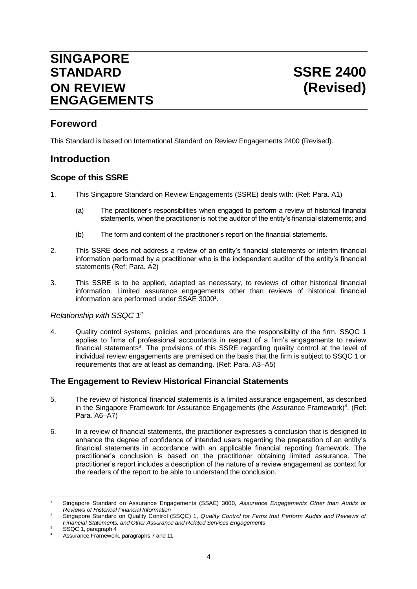# **SINGAPORE STANDARD SSRE 2400 ON REVIEW (Revised) ENGAGEMENTS**

## **Foreword**

This Standard is based on International Standard on Review Engagements 2400 (Revised).

## **Introduction**

## **Scope of this SSRE**

- 1. This Singapore Standard on Review Engagements (SSRE) deals with: (Ref: Para. A1)
	- (a) The practitioner's responsibilities when engaged to perform a review of historical financial statements, when the practitioner is not the auditor of the entity's financial statements; and
	- (b) The form and content of the practitioner's report on the financial statements.
- 2. This SSRE does not address a review of an entity's financial statements or interim financial information performed by a practitioner who is the independent auditor of the entity's financial statements (Ref: Para. A2)
- 3. This SSRE is to be applied, adapted as necessary, to reviews of other historical financial information. Limited assurance engagements other than reviews of historical financial information are performed under SSAE 3000<sup>1</sup>.

## *Relationship with SSQC 1<sup>2</sup>*

4. Quality control systems, policies and procedures are the responsibility of the firm. SSQC 1 applies to firms of professional accountants in respect of a firm's engagements to review financial statements<sup>3</sup>. The provisions of this SSRE regarding quality control at the level of individual review engagements are premised on the basis that the firm is subject to SSQC 1 or requirements that are at least as demanding. (Ref: Para. A3–A5)

## **The Engagement to Review Historical Financial Statements**

- 5. The review of historical financial statements is a limited assurance engagement, as described in the Singapore Framework for Assurance Engagements (the Assurance Framework)<sup>4</sup>. (Ref: Para. A6–A7)
- 6. In a review of financial statements, the practitioner expresses a conclusion that is designed to enhance the degree of confidence of intended users regarding the preparation of an entity's financial statements in accordance with an applicable financial reporting framework. The practitioner's conclusion is based on the practitioner obtaining limited assurance. The practitioner's report includes a description of the nature of a review engagement as context for the readers of the report to be able to understand the conclusion.

<sup>1</sup> Singapore Standard on Assurance Engagements (SSAE) 3000, *Assurance Engagements Other than Audits or Reviews of Historical Financial Information*

<sup>&</sup>lt;sup>2</sup> Singapore Standard on Quality Control (SSQC) 1, *Quality Control for Firms that Perform Audits and Reviews of Financial Statements, and Other Assurance and Related Services Engagements*

<sup>&</sup>lt;sup>3</sup> SSQC 1, paragraph 4

<sup>4</sup> Assurance Framework, paragraphs 7 and 11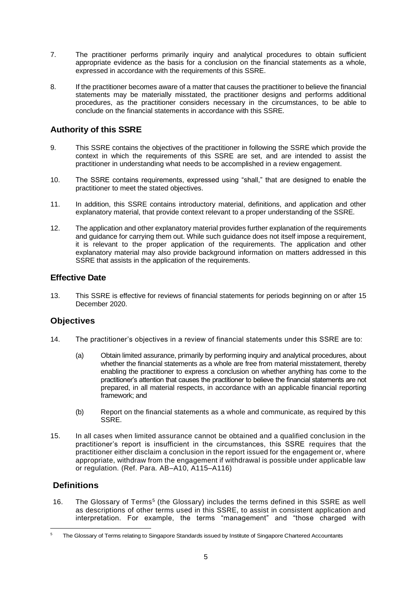- 7. The practitioner performs primarily inquiry and analytical procedures to obtain sufficient appropriate evidence as the basis for a conclusion on the financial statements as a whole, expressed in accordance with the requirements of this SSRE.
- 8. If the practitioner becomes aware of a matter that causes the practitioner to believe the financial statements may be materially misstated, the practitioner designs and performs additional procedures, as the practitioner considers necessary in the circumstances, to be able to conclude on the financial statements in accordance with this SSRE.

## **Authority of this SSRE**

- 9. This SSRE contains the objectives of the practitioner in following the SSRE which provide the context in which the requirements of this SSRE are set, and are intended to assist the practitioner in understanding what needs to be accomplished in a review engagement.
- 10. The SSRE contains requirements, expressed using "shall," that are designed to enable the practitioner to meet the stated objectives.
- 11. In addition, this SSRE contains introductory material, definitions, and application and other explanatory material, that provide context relevant to a proper understanding of the SSRE.
- 12. The application and other explanatory material provides further explanation of the requirements and guidance for carrying them out. While such guidance does not itself impose a requirement, it is relevant to the proper application of the requirements. The application and other explanatory material may also provide background information on matters addressed in this SSRE that assists in the application of the requirements.

## **Effective Date**

13. This SSRE is effective for reviews of financial statements for periods beginning on or after 15 December 2020.

## **Objectives**

- 14. The practitioner's objectives in a review of financial statements under this SSRE are to:
	- (a) Obtain limited assurance, primarily by performing inquiry and analytical procedures, about whether the financial statements as a whole are free from material misstatement, thereby enabling the practitioner to express a conclusion on whether anything has come to the practitioner's attention that causes the practitioner to believe the financial statements are not prepared, in all material respects, in accordance with an applicable financial reporting framework; and
	- (b) Report on the financial statements as a whole and communicate, as required by this **SSRF**
- 15. In all cases when limited assurance cannot be obtained and a qualified conclusion in the practitioner's report is insufficient in the circumstances, this SSRE requires that the practitioner either disclaim a conclusion in the report issued for the engagement or, where appropriate, withdraw from the engagement if withdrawal is possible under applicable law or regulation. (Ref. Para. AB–A10, A115–A116)

## **Definitions**

16. The Glossary of Terms<sup>5</sup> (the Glossary) includes the terms defined in this SSRE as well as descriptions of other terms used in this SSRE, to assist in consistent application and interpretation. For example, the terms "management" and "those charged with

<sup>&</sup>lt;sup>5</sup> The Glossary of Terms relating to Singapore Standards issued by Institute of Singapore Chartered Accountants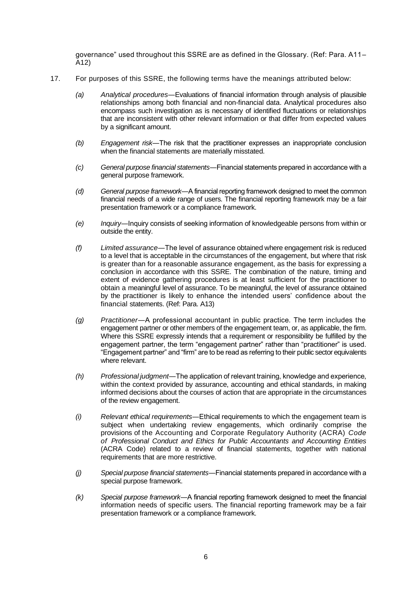governance" used throughout this SSRE are as defined in the Glossary. (Ref: Para. A11– A12)

- 17. For purposes of this SSRE, the following terms have the meanings attributed below:
	- *(a) Analytical procedures*―Evaluations of financial information through analysis of plausible relationships among both financial and non-financial data. Analytical procedures also encompass such investigation as is necessary of identified fluctuations or relationships that are inconsistent with other relevant information or that differ from expected values by a significant amount.
	- *(b) Engagement risk*―The risk that the practitioner expresses an inappropriate conclusion when the financial statements are materially misstated.
	- *(c) General purpose financial statements*―Financial statements prepared in accordance with a general purpose framework.
	- *(d) General purpose framework*―A financial reporting framework designed to meet the common financial needs of a wide range of users. The financial reporting framework may be a fair presentation framework or a compliance framework.
	- *(e) Inquiry*―Inquiry consists of seeking information of knowledgeable persons from within or outside the entity.
	- *(f) Limited assurance*―The level of assurance obtained where engagement risk is reduced to a level that is acceptable in the circumstances of the engagement, but where that risk is greater than for a reasonable assurance engagement, as the basis for expressing a conclusion in accordance with this SSRE. The combination of the nature, timing and extent of evidence gathering procedures is at least sufficient for the practitioner to obtain a meaningful level of assurance. To be meaningful, the level of assurance obtained by the practitioner is likely to enhance the intended users' confidence about the financial statements. (Ref: Para. A13)
	- *(g) Practitioner*―A professional accountant in public practice. The term includes the engagement partner or other members of the engagement team, or, as applicable, the firm. Where this SSRE expressly intends that a requirement or responsibility be fulfilled by the engagement partner, the term "engagement partner" rather than "practitioner" is used. "Engagement partner" and "firm" are to be read as referring to their public sector equivalents where relevant.
	- *(h) Professional judgment*―The application of relevant training, knowledge and experience, within the context provided by assurance, accounting and ethical standards, in making informed decisions about the courses of action that are appropriate in the circumstances of the review engagement.
	- *(i) Relevant ethical requirements*―Ethical requirements to which the engagement team is subject when undertaking review engagements, which ordinarily comprise the provisions of the Accounting and Corporate Regulatory Authority (ACRA) *Code of Professional Conduct and Ethics for Public Accountants and Accounting Entities* (ACRA Code) related to a review of financial statements, together with national requirements that are more restrictive.
	- *(j) Special purpose financial statements*―Financial statements prepared in accordance with a special purpose framework.
	- *(k) Special purpose framework*―A financial reporting framework designed to meet the financial information needs of specific users. The financial reporting framework may be a fair presentation framework or a compliance framework*.*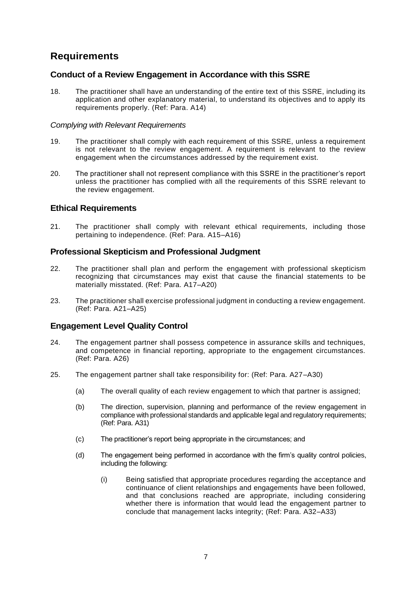## **Requirements**

## **Conduct of a Review Engagement in Accordance with this SSRE**

18. The practitioner shall have an understanding of the entire text of this SSRE, including its application and other explanatory material, to understand its objectives and to apply its requirements properly. (Ref: Para. A14)

#### *Complying with Relevant Requirements*

- 19. The practitioner shall comply with each requirement of this SSRE, unless a requirement is not relevant to the review engagement. A requirement is relevant to the review engagement when the circumstances addressed by the requirement exist.
- 20. The practitioner shall not represent compliance with this SSRE in the practitioner's report unless the practitioner has complied with all the requirements of this SSRE relevant to the review engagement.

## **Ethical Requirements**

21. The practitioner shall comply with relevant ethical requirements, including those pertaining to independence. (Ref: Para. A15–A16)

## **Professional Skepticism and Professional Judgment**

- 22. The practitioner shall plan and perform the engagement with professional skepticism recognizing that circumstances may exist that cause the financial statements to be materially misstated. (Ref: Para. A17–A20)
- 23. The practitioner shall exercise professional judgment in conducting a review engagement. (Ref: Para. A21–A25)

## **Engagement Level Quality Control**

- 24. The engagement partner shall possess competence in assurance skills and techniques, and competence in financial reporting, appropriate to the engagement circumstances. (Ref: Para. A26)
- 25. The engagement partner shall take responsibility for: (Ref: Para. A27–A30)
	- (a) The overall quality of each review engagement to which that partner is assigned;
	- (b) The direction, supervision, planning and performance of the review engagement in compliance with professional standards and applicable legal and regulatory requirements; (Ref: Para. A31)
	- (c) The practitioner's report being appropriate in the circumstances; and
	- (d) The engagement being performed in accordance with the firm's quality control policies, including the following:
		- (i) Being satisfied that appropriate procedures regarding the acceptance and continuance of client relationships and engagements have been followed, and that conclusions reached are appropriate, including considering whether there is information that would lead the engagement partner to conclude that management lacks integrity; (Ref: Para. A32–A33)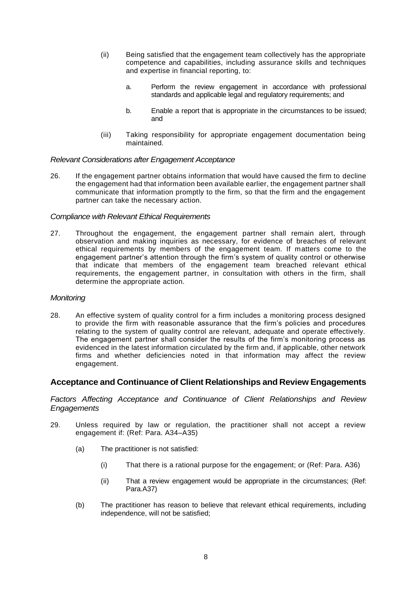- (ii) Being satisfied that the engagement team collectively has the appropriate competence and capabilities, including assurance skills and techniques and expertise in financial reporting, to:
	- a. Perform the review engagement in accordance with professional standards and applicable legal and regulatory requirements; and
	- b. Enable a report that is appropriate in the circumstances to be issued; and
- (iii) Taking responsibility for appropriate engagement documentation being maintained.

#### *Relevant Considerations after Engagement Acceptance*

26. If the engagement partner obtains information that would have caused the firm to decline the engagement had that information been available earlier, the engagement partner shall communicate that information promptly to the firm, so that the firm and the engagement partner can take the necessary action.

#### *Compliance with Relevant Ethical Requirements*

27. Throughout the engagement, the engagement partner shall remain alert, through observation and making inquiries as necessary, for evidence of breaches of relevant ethical requirements by members of the engagement team. If matters come to the engagement partner's attention through the firm's system of quality control or otherwise that indicate that members of the engagement team breached relevant ethical requirements, the engagement partner, in consultation with others in the firm, shall determine the appropriate action.

#### *Monitoring*

28. An effective system of quality control for a firm includes a monitoring process designed to provide the firm with reasonable assurance that the firm's policies and procedures relating to the system of quality control are relevant, adequate and operate effectively. The engagement partner shall consider the results of the firm's monitoring process as evidenced in the latest information circulated by the firm and, if applicable, other network firms and whether deficiencies noted in that information may affect the review engagement.

#### **Acceptance and Continuance of Client Relationships and Review Engagements**

*Factors Affecting Acceptance and Continuance of Client Relationships and Review Engagements*

- 29. Unless required by law or regulation, the practitioner shall not accept a review engagement if: (Ref: Para. A34–A35)
	- (a) The practitioner is not satisfied:
		- (i) That there is a rational purpose for the engagement; or (Ref: Para. A36)
		- (ii) That a review engagement would be appropriate in the circumstances; (Ref: Para.A37)
	- (b) The practitioner has reason to believe that relevant ethical requirements, including independence, will not be satisfied;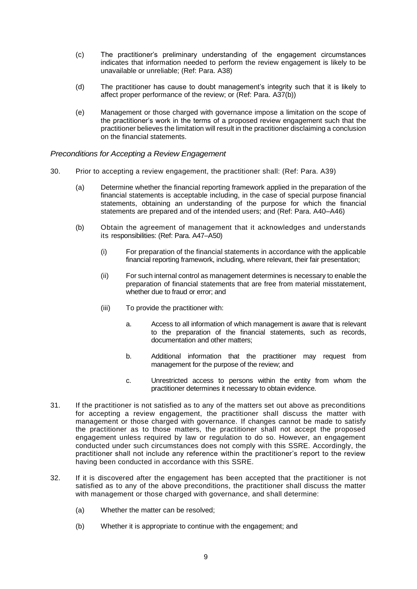- (c) The practitioner's preliminary understanding of the engagement circumstances indicates that information needed to perform the review engagement is likely to be unavailable or unreliable; (Ref: Para. A38)
- (d) The practitioner has cause to doubt management's integrity such that it is likely to affect proper performance of the review; or (Ref: Para. A37(b))
- (e) Management or those charged with governance impose a limitation on the scope of the practitioner's work in the terms of a proposed review engagement such that the practitioner believes the limitation will result in the practitioner disclaiming a conclusion on the financial statements.

#### *Preconditions for Accepting a Review Engagement*

- 30. Prior to accepting a review engagement, the practitioner shall: (Ref: Para. A39)
	- (a) Determine whether the financial reporting framework applied in the preparation of the financial statements is acceptable including, in the case of special purpose financial statements, obtaining an understanding of the purpose for which the financial statements are prepared and of the intended users; and (Ref: Para. A40–A46)
	- (b) Obtain the agreement of management that it acknowledges and understands its responsibilities: (Ref: Para. A47–A50)
		- (i) For preparation of the financial statements in accordance with the applicable financial reporting framework, including, where relevant, their fair presentation;
		- (ii) For such internal control as management determines is necessary to enable the preparation of financial statements that are free from material misstatement, whether due to fraud or error; and
		- (iii) To provide the practitioner with:
			- a. Access to all information of which management is aware that is relevant to the preparation of the financial statements, such as records, documentation and other matters;
			- b. Additional information that the practitioner may request from management for the purpose of the review; and
			- c. Unrestricted access to persons within the entity from whom the practitioner determines it necessary to obtain evidence.
- 31. If the practitioner is not satisfied as to any of the matters set out above as preconditions for accepting a review engagement, the practitioner shall discuss the matter with management or those charged with governance. If changes cannot be made to satisfy the practitioner as to those matters, the practitioner shall not accept the proposed engagement unless required by law or regulation to do so. However, an engagement conducted under such circumstances does not comply with this SSRE. Accordingly, the practitioner shall not include any reference within the practitioner's report to the review having been conducted in accordance with this SSRE.
- 32. If it is discovered after the engagement has been accepted that the practitioner is not satisfied as to any of the above preconditions, the practitioner shall discuss the matter with management or those charged with governance, and shall determine:
	- (a) Whether the matter can be resolved;
	- (b) Whether it is appropriate to continue with the engagement; and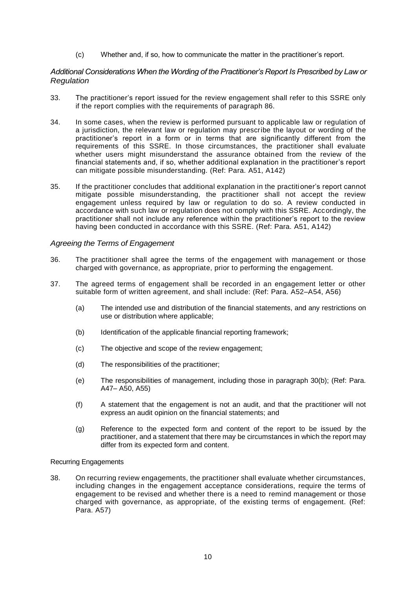(c) Whether and, if so, how to communicate the matter in the practitioner's report.

#### *Additional Considerations When the Wording of the Practitioner's Report Is Prescribed by Law or Regulation*

- 33. The practitioner's report issued for the review engagement shall refer to this SSRE only if the report complies with the requirements of paragraph 86.
- 34. In some cases, when the review is performed pursuant to applicable law or regulation of a jurisdiction, the relevant law or regulation may prescribe the layout or wording of the practitioner's report in a form or in terms that are significantly different from the requirements of this SSRE. In those circumstances, the practitioner shall evaluate whether users might misunderstand the assurance obtained from the review of the financial statements and, if so, whether additional explanation in the practitioner's report can mitigate possible misunderstanding. (Ref: Para. A51, A142)
- 35. If the practitioner concludes that additional explanation in the practitioner's report cannot mitigate possible misunderstanding, the practitioner shall not accept the review engagement unless required by law or regulation to do so. A review conducted in accordance with such law or regulation does not comply with this SSRE. Accordingly, the practitioner shall not include any reference within the practitioner's report to the review having been conducted in accordance with this SSRE. (Ref: Para. A51, A142)

#### *Agreeing the Terms of Engagement*

- 36. The practitioner shall agree the terms of the engagement with management or those charged with governance, as appropriate, prior to performing the engagement.
- 37. The agreed terms of engagement shall be recorded in an engagement letter or other suitable form of written agreement, and shall include: (Ref: Para. A52–A54, A56)
	- (a) The intended use and distribution of the financial statements, and any restrictions on use or distribution where applicable;
	- (b) Identification of the applicable financial reporting framework;
	- (c) The objective and scope of the review engagement;
	- (d) The responsibilities of the practitioner;
	- (e) The responsibilities of management, including those in paragraph 30(b); (Ref: Para. A47– A50, A55)
	- (f) A statement that the engagement is not an audit, and that the practitioner will not express an audit opinion on the financial statements; and
	- (g) Reference to the expected form and content of the report to be issued by the practitioner, and a statement that there may be circumstances in which the report may differ from its expected form and content.

#### Recurring Engagements

38. On recurring review engagements, the practitioner shall evaluate whether circumstances, including changes in the engagement acceptance considerations, require the terms of engagement to be revised and whether there is a need to remind management or those charged with governance, as appropriate, of the existing terms of engagement. (Ref: Para. A57)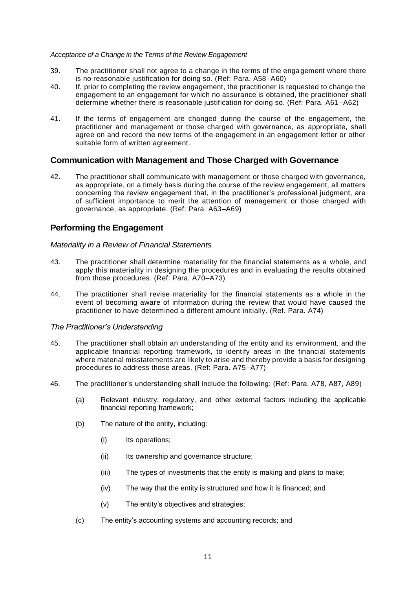#### *Acceptance of a Change in the Terms of the Review Engagement*

- 39. The practitioner shall not agree to a change in the terms of the engagement where there is no reasonable justification for doing so. (Ref: Para. A58–A60)
- 40. If, prior to completing the review engagement, the practitioner is requested to change the engagement to an engagement for which no assurance is obtained, the practitioner shall determine whether there is reasonable justification for doing so. (Ref: Para. A61 –A62)
- 41. If the terms of engagement are changed during the course of the engagement, the practitioner and management or those charged with governance, as appropriate, shall agree on and record the new terms of the engagement in an engagement letter or other suitable form of written agreement.

## **Communication with Management and Those Charged with Governance**

42. The practitioner shall communicate with management or those charged with governance, as appropriate, on a timely basis during the course of the review engagement, all matters concerning the review engagement that, in the practitioner's professional judgment, are of sufficient importance to merit the attention of management or those charged with governance, as appropriate. (Ref: Para. A63–A69)

## **Performing the Engagement**

#### *Materiality in a Review of Financial Statements*

- 43. The practitioner shall determine materiality for the financial statements as a whole, and apply this materiality in designing the procedures and in evaluating the results obtained from those procedures. (Ref: Para. A70–A73)
- 44. The practitioner shall revise materiality for the financial statements as a whole in the event of becoming aware of information during the review that would have caused the practitioner to have determined a different amount initially. (Ref. Para. A74)

#### *The Practitioner's Understanding*

- 45. The practitioner shall obtain an understanding of the entity and its environment, and the applicable financial reporting framework, to identify areas in the financial statements where material misstatements are likely to arise and thereby provide a basis for designing procedures to address those areas. (Ref: Para. A75–A77)
- 46. The practitioner's understanding shall include the following: (Ref: Para. A78, A87, A89)
	- (a) Relevant industry, regulatory, and other external factors including the applicable financial reporting framework;
	- (b) The nature of the entity, including:
		- (i) Its operations;
		- (ii) Its ownership and governance structure;
		- (iii) The types of investments that the entity is making and plans to make;
		- (iv) The way that the entity is structured and how it is financed; and
		- (v) The entity's objectives and strategies;
	- (c) The entity's accounting systems and accounting records; and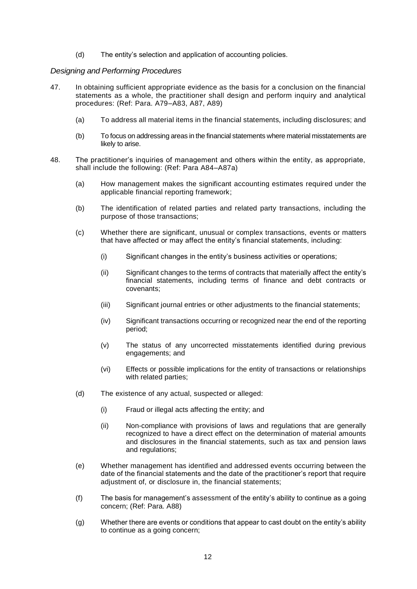(d) The entity's selection and application of accounting policies.

## *Designing and Performing Procedures*

- 47. In obtaining sufficient appropriate evidence as the basis for a conclusion on the financial statements as a whole, the practitioner shall design and perform inquiry and analytical procedures: (Ref: Para. A79–A83, A87, A89)
	- (a) To address all material items in the financial statements, including disclosures; and
	- (b) To focus on addressing areas in the financial statements where material misstatements are likely to arise.
- 48. The practitioner's inquiries of management and others within the entity, as appropriate, shall include the following: (Ref: Para A84–A87a)
	- (a) How management makes the significant accounting estimates required under the applicable financial reporting framework;
	- (b) The identification of related parties and related party transactions, including the purpose of those transactions;
	- (c) Whether there are significant, unusual or complex transactions, events or matters that have affected or may affect the entity's financial statements, including:
		- (i) Significant changes in the entity's business activities or operations;
		- (ii) Significant changes to the terms of contracts that materially affect the entity's financial statements, including terms of finance and debt contracts or covenants;
		- (iii) Significant journal entries or other adjustments to the financial statements;
		- (iv) Significant transactions occurring or recognized near the end of the reporting period;
		- (v) The status of any uncorrected misstatements identified during previous engagements; and
		- (vi) Effects or possible implications for the entity of transactions or relationships with related parties;
	- (d) The existence of any actual, suspected or alleged:
		- (i) Fraud or illegal acts affecting the entity; and
		- (ii) Non-compliance with provisions of laws and regulations that are generally recognized to have a direct effect on the determination of material amounts and disclosures in the financial statements, such as tax and pension laws and regulations;
	- (e) Whether management has identified and addressed events occurring between the date of the financial statements and the date of the practitioner's report that require adjustment of, or disclosure in, the financial statements;
	- (f) The basis for management's assessment of the entity's ability to continue as a going concern; (Ref: Para. A88)
	- (g) Whether there are events or conditions that appear to cast doubt on the entity's ability to continue as a going concern;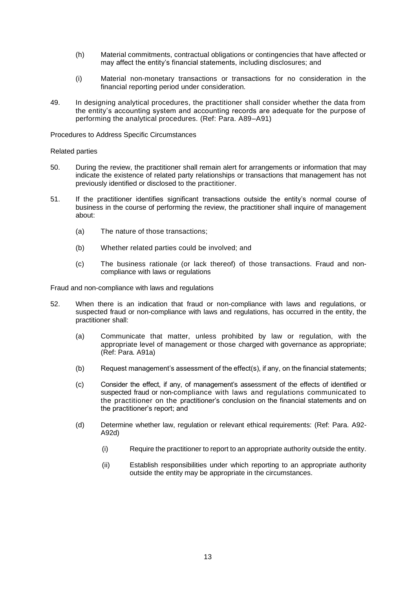- (h) Material commitments, contractual obligations or contingencies that have affected or may affect the entity's financial statements, including disclosures; and
- (i) Material non-monetary transactions or transactions for no consideration in the financial reporting period under consideration.
- 49. In designing analytical procedures, the practitioner shall consider whether the data from the entity's accounting system and accounting records are adequate for the purpose of performing the analytical procedures. (Ref: Para. A89–A91)

Procedures to Address Specific Circumstances

#### Related parties

- 50. During the review, the practitioner shall remain alert for arrangements or information that may indicate the existence of related party relationships or transactions that management has not previously identified or disclosed to the practitioner.
- 51. If the practitioner identifies significant transactions outside the entity's normal course of business in the course of performing the review, the practitioner shall inquire of management about:
	- (a) The nature of those transactions;
	- (b) Whether related parties could be involved; and
	- (c) The business rationale (or lack thereof) of those transactions. Fraud and noncompliance with laws or regulations

Fraud and non-compliance with laws and regulations

- 52. When there is an indication that fraud or non-compliance with laws and regulations, or suspected fraud or non-compliance with laws and regulations, has occurred in the entity, the practitioner shall:
	- (a) Communicate that matter, unless prohibited by law or regulation, with the appropriate level of management or those charged with governance as appropriate; (Ref: Para. A91a)
	- (b) Request management's assessment of the effect(s), if any, on the financial statements;
	- (c) Consider the effect, if any, of management's assessment of the effects of identified or suspected fraud or non-compliance with laws and regulations communicated to the practitioner on the practitioner's conclusion on the financial statements and on the practitioner's report; and
	- (d) Determine whether law, regulation or relevant ethical requirements: (Ref: Para. A92- A92d)
		- (i) Require the practitioner to report to an appropriate authority outside the entity.
		- (ii) Establish responsibilities under which reporting to an appropriate authority outside the entity may be appropriate in the circumstances.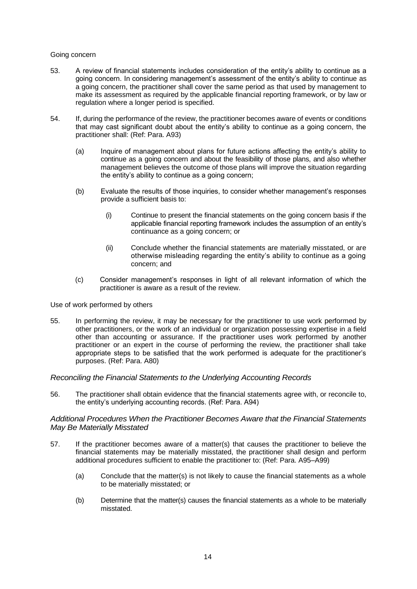#### Going concern

- 53. A review of financial statements includes consideration of the entity's ability to continue as a going concern. In considering management's assessment of the entity's ability to continue as a going concern, the practitioner shall cover the same period as that used by management to make its assessment as required by the applicable financial reporting framework, or by law or regulation where a longer period is specified.
- 54. If, during the performance of the review, the practitioner becomes aware of events or conditions that may cast significant doubt about the entity's ability to continue as a going concern, the practitioner shall: (Ref: Para. A93)
	- (a) Inquire of management about plans for future actions affecting the entity's ability to continue as a going concern and about the feasibility of those plans, and also whether management believes the outcome of those plans will improve the situation regarding the entity's ability to continue as a going concern;
	- (b) Evaluate the results of those inquiries, to consider whether management's responses provide a sufficient basis to:
		- (i) Continue to present the financial statements on the going concern basis if the applicable financial reporting framework includes the assumption of an entity's continuance as a going concern; or
		- (ii) Conclude whether the financial statements are materially misstated, or are otherwise misleading regarding the entity's ability to continue as a going concern; and
	- (c) Consider management's responses in light of all relevant information of which the practitioner is aware as a result of the review.

Use of work performed by others

55. In performing the review, it may be necessary for the practitioner to use work performed by other practitioners, or the work of an individual or organization possessing expertise in a field other than accounting or assurance. If the practitioner uses work performed by another practitioner or an expert in the course of performing the review, the practitioner shall take appropriate steps to be satisfied that the work performed is adequate for the practitioner's purposes. (Ref: Para. A80)

#### *Reconciling the Financial Statements to the Underlying Accounting Records*

56. The practitioner shall obtain evidence that the financial statements agree with, or reconcile to, the entity's underlying accounting records. (Ref: Para. A94)

#### *Additional Procedures When the Practitioner Becomes Aware that the Financial Statements May Be Materially Misstated*

- 57. If the practitioner becomes aware of a matter(s) that causes the practitioner to believe the financial statements may be materially misstated, the practitioner shall design and perform additional procedures sufficient to enable the practitioner to: (Ref: Para. A95–A99)
	- (a) Conclude that the matter(s) is not likely to cause the financial statements as a whole to be materially misstated; or
	- (b) Determine that the matter(s) causes the financial statements as a whole to be materially misstated.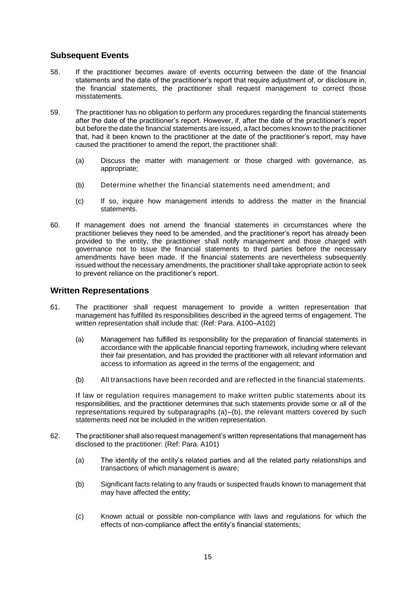## **Subsequent Events**

- 58. If the practitioner becomes aware of events occurring between the date of the financial statements and the date of the practitioner's report that require adjustment of, or disclosure in, the financial statements, the practitioner shall request management to correct those misstatements.
- 59. The practitioner has no obligation to perform any procedures regarding the financial statements after the date of the practitioner's report. However, if, after the date of the practitioner's report but before the date the financial statements are issued, a fact becomes known to the practitioner that, had it been known to the practitioner at the date of the practitioner's report, may have caused the practitioner to amend the report, the practitioner shall:
	- (a) Discuss the matter with management or those charged with governance, as appropriate;
	- (b) Determine whether the financial statements need amendment; and
	- (c) If so, inquire how management intends to address the matter in the financial statements.
- 60. If management does not amend the financial statements in circumstances where the practitioner believes they need to be amended, and the practitioner's report has already been provided to the entity, the practitioner shall notify management and those charged with governance not to issue the financial statements to third parties before the necessary amendments have been made. If the financial statements are nevertheless subsequently issued without the necessary amendments, the practitioner shall take appropriate action to seek to prevent reliance on the practitioner's report.

### **Written Representations**

- 61. The practitioner shall request management to provide a written representation that management has fulfilled its responsibilities described in the agreed terms of engagement. The written representation shall include that: (Ref: Para. A100–A102)
	- (a) Management has fulfilled its responsibility for the preparation of financial statements in accordance with the applicable financial reporting framework, including where relevant their fair presentation, and has provided the practitioner with all relevant information and access to information as agreed in the terms of the engagement; and
	- (b) All transactions have been recorded and are reflected in the financial statements.

If law or regulation requires management to make written public statements about its responsibilities, and the practitioner determines that such statements provide some or all of the representations required by subparagraphs (a)–(b), the relevant matters covered by such statements need not be included in the written representation.

- 62. The practitioner shall also request management's written representations that management has disclosed to the practitioner: (Ref: Para. A101)
	- (a) The identity of the entity's related parties and all the related party relationships and transactions of which management is aware;
	- (b) Significant facts relating to any frauds or suspected frauds known to management that may have affected the entity;
	- (c) Known actual or possible non-compliance with laws and regulations for which the effects of non-compliance affect the entity's financial statements;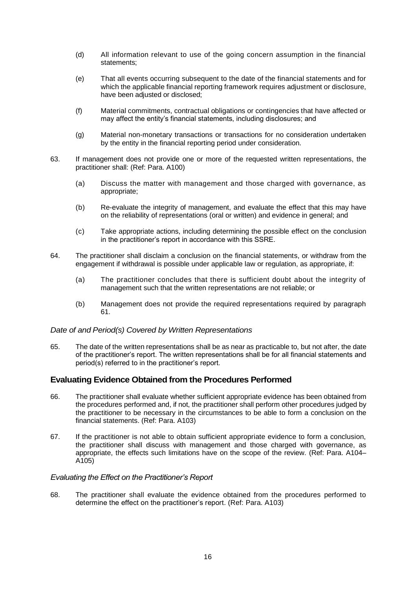- (d) All information relevant to use of the going concern assumption in the financial statements;
- (e) That all events occurring subsequent to the date of the financial statements and for which the applicable financial reporting framework requires adjustment or disclosure, have been adjusted or disclosed;
- (f) Material commitments, contractual obligations or contingencies that have affected or may affect the entity's financial statements, including disclosures; and
- (g) Material non-monetary transactions or transactions for no consideration undertaken by the entity in the financial reporting period under consideration.
- 63. If management does not provide one or more of the requested written representations, the practitioner shall: (Ref: Para. A100)
	- (a) Discuss the matter with management and those charged with governance, as appropriate;
	- (b) Re-evaluate the integrity of management, and evaluate the effect that this may have on the reliability of representations (oral or written) and evidence in general; and
	- (c) Take appropriate actions, including determining the possible effect on the conclusion in the practitioner's report in accordance with this SSRE.
- 64. The practitioner shall disclaim a conclusion on the financial statements, or withdraw from the engagement if withdrawal is possible under applicable law or regulation, as appropriate, if:
	- (a) The practitioner concludes that there is sufficient doubt about the integrity of management such that the written representations are not reliable; or
	- (b) Management does not provide the required representations required by paragraph 61.

#### *Date of and Period(s) Covered by Written Representations*

65. The date of the written representations shall be as near as practicable to, but not after, the date of the practitioner's report. The written representations shall be for all financial statements and period(s) referred to in the practitioner's report.

## **Evaluating Evidence Obtained from the Procedures Performed**

- 66. The practitioner shall evaluate whether sufficient appropriate evidence has been obtained from the procedures performed and, if not, the practitioner shall perform other procedures judged by the practitioner to be necessary in the circumstances to be able to form a conclusion on the financial statements. (Ref: Para. A103)
- 67. If the practitioner is not able to obtain sufficient appropriate evidence to form a conclusion, the practitioner shall discuss with management and those charged with governance, as appropriate, the effects such limitations have on the scope of the review. (Ref: Para. A104– A105)

#### *Evaluating the Effect on the Practitioner's Report*

68. The practitioner shall evaluate the evidence obtained from the procedures performed to determine the effect on the practitioner's report. (Ref: Para. A103)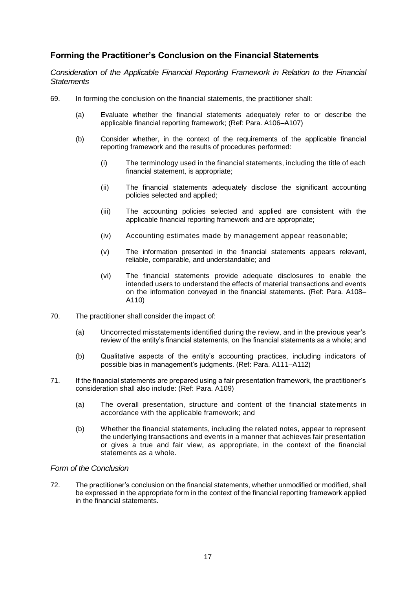## **Forming the Practitioner's Conclusion on the Financial Statements**

*Consideration of the Applicable Financial Reporting Framework in Relation to the Financial Statements*

- 69. In forming the conclusion on the financial statements, the practitioner shall:
	- (a) Evaluate whether the financial statements adequately refer to or describe the applicable financial reporting framework; (Ref: Para. A106–A107)
	- (b) Consider whether, in the context of the requirements of the applicable financial reporting framework and the results of procedures performed:
		- (i) The terminology used in the financial statements, including the title of each financial statement, is appropriate;
		- (ii) The financial statements adequately disclose the significant accounting policies selected and applied;
		- (iii) The accounting policies selected and applied are consistent with the applicable financial reporting framework and are appropriate;
		- (iv) Accounting estimates made by management appear reasonable;
		- (v) The information presented in the financial statements appears relevant, reliable, comparable, and understandable; and
		- (vi) The financial statements provide adequate disclosures to enable the intended users to understand the effects of material transactions and events on the information conveyed in the financial statements. (Ref: Para. A108– A110)
- 70. The practitioner shall consider the impact of:
	- (a) Uncorrected misstatements identified during the review, and in the previous year's review of the entity's financial statements, on the financial statements as a whole; and
	- (b) Qualitative aspects of the entity's accounting practices, including indicators of possible bias in management's judgments. (Ref: Para. A111–A112)
- 71. If the financial statements are prepared using a fair presentation framework, the practitioner's consideration shall also include: (Ref: Para. A109)
	- (a) The overall presentation, structure and content of the financial statements in accordance with the applicable framework; and
	- (b) Whether the financial statements, including the related notes, appear to represent the underlying transactions and events in a manner that achieves fair presentation or gives a true and fair view, as appropriate, in the context of the financial statements as a whole.

#### *Form of the Conclusion*

72. The practitioner's conclusion on the financial statements, whether unmodified or modified, shall be expressed in the appropriate form in the context of the financial reporting framework applied in the financial statements.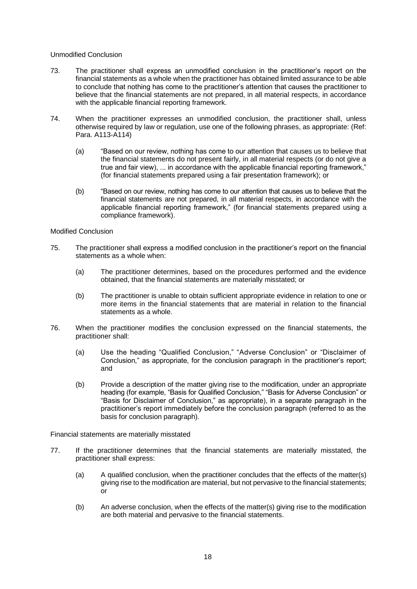#### Unmodified Conclusion

- 73. The practitioner shall express an unmodified conclusion in the practitioner's report on the financial statements as a whole when the practitioner has obtained limited assurance to be able to conclude that nothing has come to the practitioner's attention that causes the practitioner to believe that the financial statements are not prepared, in all material respects, in accordance with the applicable financial reporting framework.
- 74. When the practitioner expresses an unmodified conclusion, the practitioner shall, unless otherwise required by law or regulation, use one of the following phrases, as appropriate: (Ref: Para. A113-A114)
	- (a) "Based on our review, nothing has come to our attention that causes us to believe that the financial statements do not present fairly, in all material respects (or do not give a true and fair view), ... in accordance with the applicable financial reporting framework," (for financial statements prepared using a fair presentation framework); or
	- (b) "Based on our review, nothing has come to our attention that causes us to believe that the financial statements are not prepared, in all material respects, in accordance with the applicable financial reporting framework," (for financial statements prepared using a compliance framework).

#### Modified Conclusion

- 75. The practitioner shall express a modified conclusion in the practitioner's report on the financial statements as a whole when:
	- (a) The practitioner determines, based on the procedures performed and the evidence obtained, that the financial statements are materially misstated; or
	- (b) The practitioner is unable to obtain sufficient appropriate evidence in relation to one or more items in the financial statements that are material in relation to the financial statements as a whole.
- 76. When the practitioner modifies the conclusion expressed on the financial statements, the practitioner shall:
	- (a) Use the heading "Qualified Conclusion," "Adverse Conclusion" or "Disclaimer of Conclusion," as appropriate, for the conclusion paragraph in the practitioner's report; and
	- (b) Provide a description of the matter giving rise to the modification, under an appropriate heading (for example, "Basis for Qualified Conclusion," "Basis for Adverse Conclusion" or "Basis for Disclaimer of Conclusion," as appropriate), in a separate paragraph in the practitioner's report immediately before the conclusion paragraph (referred to as the basis for conclusion paragraph).

Financial statements are materially misstated

- 77. If the practitioner determines that the financial statements are materially misstated, the practitioner shall express:
	- (a) A qualified conclusion, when the practitioner concludes that the effects of the matter(s) giving rise to the modification are material, but not pervasive to the financial statements; or
	- (b) An adverse conclusion, when the effects of the matter(s) giving rise to the modification are both material and pervasive to the financial statements.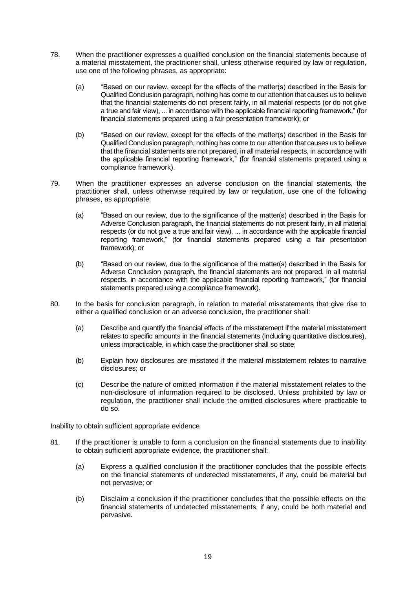- 78. When the practitioner expresses a qualified conclusion on the financial statements because of a material misstatement, the practitioner shall, unless otherwise required by law or regulation, use one of the following phrases, as appropriate:
	- (a) "Based on our review, except for the effects of the matter(s) described in the Basis for Qualified Conclusion paragraph, nothing has come to our attention that causes us to believe that the financial statements do not present fairly, in all material respects (or do not give a true and fair view), ... in accordance with the applicable financial reporting framework," (for financial statements prepared using a fair presentation framework); or
	- (b) "Based on our review, except for the effects of the matter(s) described in the Basis for Qualified Conclusion paragraph, nothing has come to our attention that causes us to believe that the financial statements are not prepared, in all material respects, in accordance with the applicable financial reporting framework," (for financial statements prepared using a compliance framework).
- 79. When the practitioner expresses an adverse conclusion on the financial statements, the practitioner shall, unless otherwise required by law or regulation, use one of the following phrases, as appropriate:
	- (a) "Based on our review, due to the significance of the matter(s) described in the Basis for Adverse Conclusion paragraph, the financial statements do not present fairly, in all material respects (or do not give a true and fair view), ... in accordance with the applicable financial reporting framework," (for financial statements prepared using a fair presentation framework); or
	- (b) "Based on our review, due to the significance of the matter(s) described in the Basis for Adverse Conclusion paragraph, the financial statements are not prepared, in all material respects, in accordance with the applicable financial reporting framework," (for financial statements prepared using a compliance framework).
- 80. In the basis for conclusion paragraph, in relation to material misstatements that give rise to either a qualified conclusion or an adverse conclusion, the practitioner shall:
	- (a) Describe and quantify the financial effects of the misstatement if the material misstatement relates to specific amounts in the financial statements (including quantitative disclosures), unless impracticable, in which case the practitioner shall so state;
	- (b) Explain how disclosures are misstated if the material misstatement relates to narrative disclosures; or
	- (c) Describe the nature of omitted information if the material misstatement relates to the non-disclosure of information required to be disclosed. Unless prohibited by law or regulation, the practitioner shall include the omitted disclosures where practicable to do so.

Inability to obtain sufficient appropriate evidence

- 81. If the practitioner is unable to form a conclusion on the financial statements due to inability to obtain sufficient appropriate evidence, the practitioner shall:
	- (a) Express a qualified conclusion if the practitioner concludes that the possible effects on the financial statements of undetected misstatements, if any, could be material but not pervasive; or
	- (b) Disclaim a conclusion if the practitioner concludes that the possible effects on the financial statements of undetected misstatements, if any, could be both material and pervasive.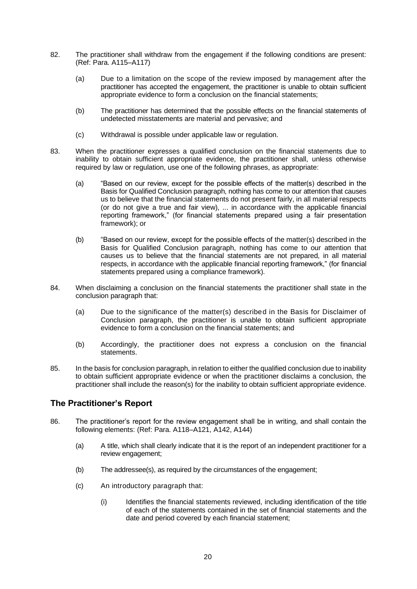- 82. The practitioner shall withdraw from the engagement if the following conditions are present: (Ref: Para. A115–A117)
	- (a) Due to a limitation on the scope of the review imposed by management after the practitioner has accepted the engagement, the practitioner is unable to obtain sufficient appropriate evidence to form a conclusion on the financial statements;
	- (b) The practitioner has determined that the possible effects on the financial statements of undetected misstatements are material and pervasive; and
	- (c) Withdrawal is possible under applicable law or regulation.
- 83. When the practitioner expresses a qualified conclusion on the financial statements due to inability to obtain sufficient appropriate evidence, the practitioner shall, unless otherwise required by law or regulation, use one of the following phrases, as appropriate:
	- (a) "Based on our review, except for the possible effects of the matter(s) described in the Basis for Qualified Conclusion paragraph, nothing has come to our attention that causes us to believe that the financial statements do not present fairly, in all material respects (or do not give a true and fair view), ... in accordance with the applicable financial reporting framework," (for financial statements prepared using a fair presentation framework); or
	- (b) "Based on our review, except for the possible effects of the matter(s) described in the Basis for Qualified Conclusion paragraph, nothing has come to our attention that causes us to believe that the financial statements are not prepared, in all material respects, in accordance with the applicable financial reporting framework," (for financial statements prepared using a compliance framework).
- 84. When disclaiming a conclusion on the financial statements the practitioner shall state in the conclusion paragraph that:
	- (a) Due to the significance of the matter(s) described in the Basis for Disclaimer of Conclusion paragraph, the practitioner is unable to obtain sufficient appropriate evidence to form a conclusion on the financial statements; and
	- (b) Accordingly, the practitioner does not express a conclusion on the financial statements.
- 85. In the basis for conclusion paragraph, in relation to either the qualified conclusion due to inability to obtain sufficient appropriate evidence or when the practitioner disclaims a conclusion, the practitioner shall include the reason(s) for the inability to obtain sufficient appropriate evidence.

## **The Practitioner's Report**

- 86. The practitioner's report for the review engagement shall be in writing, and shall contain the following elements: (Ref: Para. A118–A121, A142, A144)
	- (a) A title, which shall clearly indicate that it is the report of an independent practitioner for a review engagement;
	- (b) The addressee(s), as required by the circumstances of the engagement;
	- (c) An introductory paragraph that:
		- (i) Identifies the financial statements reviewed, including identification of the title of each of the statements contained in the set of financial statements and the date and period covered by each financial statement;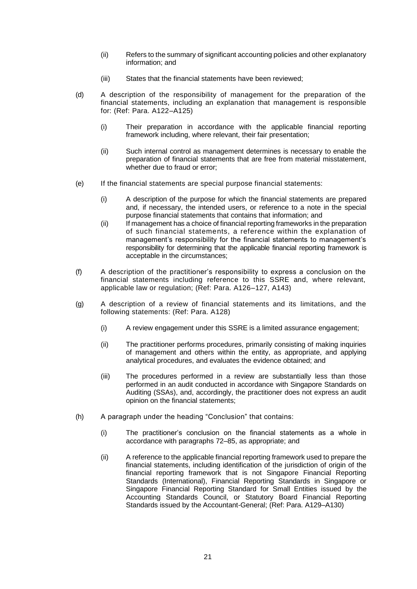- (ii) Refers to the summary of significant accounting policies and other explanatory information; and
- (iii) States that the financial statements have been reviewed;
- (d) A description of the responsibility of management for the preparation of the financial statements, including an explanation that management is responsible for: (Ref: Para. A122–A125)
	- (i) Their preparation in accordance with the applicable financial reporting framework including, where relevant, their fair presentation;
	- (ii) Such internal control as management determines is necessary to enable the preparation of financial statements that are free from material misstatement, whether due to fraud or error;
- (e) If the financial statements are special purpose financial statements:
	- (i) A description of the purpose for which the financial statements are prepared and, if necessary, the intended users, or reference to a note in the special purpose financial statements that contains that information; and
	- (ii) If management has a choice of financial reporting frameworks in the preparation of such financial statements, a reference within the explanation of management's responsibility for the financial statements to management's responsibility for determining that the applicable financial reporting framework is acceptable in the circumstances;
- (f) A description of the practitioner's responsibility to express a conclusion on the financial statements including reference to this SSRE and, where relevant, applicable law or regulation; (Ref: Para. A126–127, A143)
- (g) A description of a review of financial statements and its limitations, and the following statements: (Ref: Para. A128)
	- (i) A review engagement under this SSRE is a limited assurance engagement;
	- (ii) The practitioner performs procedures, primarily consisting of making inquiries of management and others within the entity, as appropriate, and applying analytical procedures, and evaluates the evidence obtained; and
	- (iii) The procedures performed in a review are substantially less than those performed in an audit conducted in accordance with Singapore Standards on Auditing (SSAs), and, accordingly, the practitioner does not express an audit opinion on the financial statements;
- (h) A paragraph under the heading "Conclusion" that contains:
	- (i) The practitioner's conclusion on the financial statements as a whole in accordance with paragraphs 72–85, as appropriate; and
	- (ii) A reference to the applicable financial reporting framework used to prepare the financial statements, including identification of the jurisdiction of origin of the financial reporting framework that is not Singapore Financial Reporting Standards (International), Financial Reporting Standards in Singapore or Singapore Financial Reporting Standard for Small Entities issued by the Accounting Standards Council, or Statutory Board Financial Reporting Standards issued by the Accountant-General; (Ref: Para. A129–A130)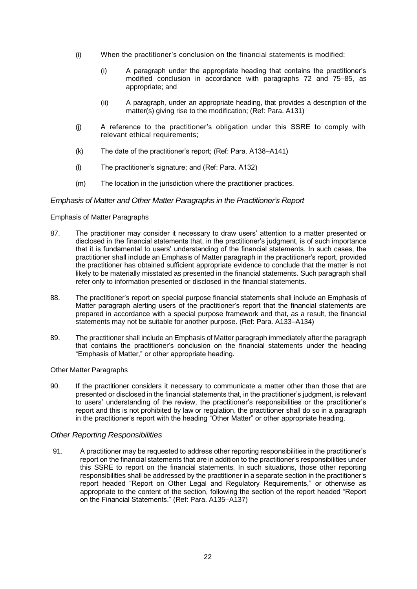- (i) When the practitioner's conclusion on the financial statements is modified:
	- (i) A paragraph under the appropriate heading that contains the practitioner's modified conclusion in accordance with paragraphs 72 and 75–85, as appropriate; and
	- (ii) A paragraph, under an appropriate heading, that provides a description of the matter(s) giving rise to the modification; (Ref: Para. A131)
- (j) A reference to the practitioner's obligation under this SSRE to comply with relevant ethical requirements;
- (k) The date of the practitioner's report; (Ref: Para. A138–A141)
- (l) The practitioner's signature; and (Ref: Para. A132)
- (m) The location in the jurisdiction where the practitioner practices.

#### *Emphasis of Matter and Other Matter Paragraphs in the Practitioner's Report*

#### Emphasis of Matter Paragraphs

- 87. The practitioner may consider it necessary to draw users' attention to a matter presented or disclosed in the financial statements that, in the practitioner's judgment, is of such importance that it is fundamental to users' understanding of the financial statements. In such cases, the practitioner shall include an Emphasis of Matter paragraph in the practitioner's report, provided the practitioner has obtained sufficient appropriate evidence to conclude that the matter is not likely to be materially misstated as presented in the financial statements. Such paragraph shall refer only to information presented or disclosed in the financial statements.
- 88. The practitioner's report on special purpose financial statements shall include an Emphasis of Matter paragraph alerting users of the practitioner's report that the financial statements are prepared in accordance with a special purpose framework and that, as a result, the financial statements may not be suitable for another purpose. (Ref: Para. A133–A134)
- 89. The practitioner shall include an Emphasis of Matter paragraph immediately after the paragraph that contains the practitioner's conclusion on the financial statements under the heading "Emphasis of Matter," or other appropriate heading.

Other Matter Paragraphs

90. If the practitioner considers it necessary to communicate a matter other than those that are presented or disclosed in the financial statements that, in the practitioner's judgment, is relevant to users' understanding of the review, the practitioner's responsibilities or the practitioner's report and this is not prohibited by law or regulation, the practitioner shall do so in a paragraph in the practitioner's report with the heading "Other Matter" or other appropriate heading.

#### *Other Reporting Responsibilities*

91. A practitioner may be requested to address other reporting responsibilities in the practitioner's report on the financial statements that are in addition to the practitioner's responsibilities under this SSRE to report on the financial statements. In such situations, those other reporting responsibilities shall be addressed by the practitioner in a separate section in the practitioner's report headed "Report on Other Legal and Regulatory Requirements," or otherwise as appropriate to the content of the section, following the section of the report headed "Report on the Financial Statements." (Ref: Para. A135–A137)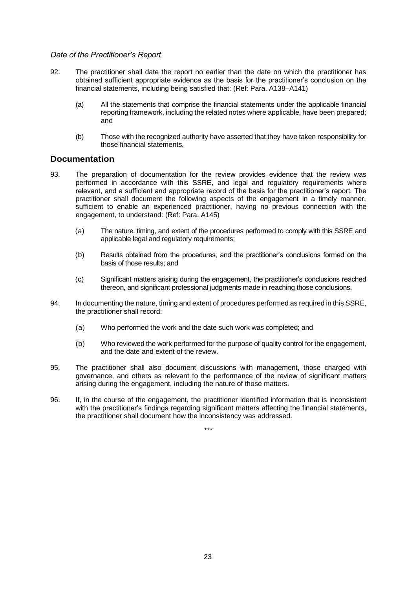#### *Date of the Practitioner's Report*

- 92. The practitioner shall date the report no earlier than the date on which the practitioner has obtained sufficient appropriate evidence as the basis for the practitioner's conclusion on the financial statements, including being satisfied that: (Ref: Para. A138–A141)
	- (a) All the statements that comprise the financial statements under the applicable financial reporting framework, including the related notes where applicable, have been prepared; and
	- (b) Those with the recognized authority have asserted that they have taken responsibility for those financial statements.

#### **Documentation**

- 93. The preparation of documentation for the review provides evidence that the review was performed in accordance with this SSRE, and legal and regulatory requirements where relevant, and a sufficient and appropriate record of the basis for the practitioner's report. The practitioner shall document the following aspects of the engagement in a timely manner, sufficient to enable an experienced practitioner, having no previous connection with the engagement, to understand: (Ref: Para. A145)
	- (a) The nature, timing, and extent of the procedures performed to comply with this SSRE and applicable legal and regulatory requirements;
	- (b) Results obtained from the procedures, and the practitioner's conclusions formed on the basis of those results; and
	- (c) Significant matters arising during the engagement, the practitioner's conclusions reached thereon, and significant professional judgments made in reaching those conclusions.
- 94. In documenting the nature, timing and extent of procedures performed as required in this SSRE, the practitioner shall record:
	- (a) Who performed the work and the date such work was completed; and
	- (b) Who reviewed the work performed for the purpose of quality control for the engagement, and the date and extent of the review.
- 95. The practitioner shall also document discussions with management, those charged with governance, and others as relevant to the performance of the review of significant matters arising during the engagement, including the nature of those matters.
- 96. If, in the course of the engagement, the practitioner identified information that is inconsistent with the practitioner's findings regarding significant matters affecting the financial statements, the practitioner shall document how the inconsistency was addressed.

\*\*\*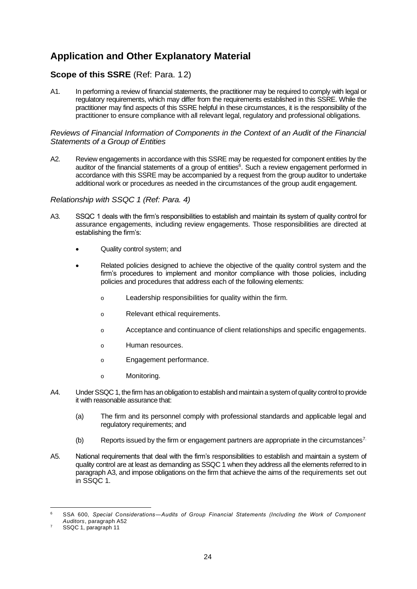## **Application and Other Explanatory Material**

## **Scope of this SSRE** (Ref: Para. 1.2)

A1. In performing a review of financial statements, the practitioner may be required to comply with legal or regulatory requirements, which may differ from the requirements established in this SSRE. While the practitioner may find aspects of this SSRE helpful in these circumstances, it is the responsibility of the practitioner to ensure compliance with all relevant legal, regulatory and professional obligations.

#### *Reviews of Financial Information of Components in the Context of an Audit of the Financial Statements of a Group of Entities*

A2. Review engagements in accordance with this SSRE may be requested for component entities by the auditor of the financial statements of a group of entities<sup>6</sup>. Such a review engagement performed in accordance with this SSRE may be accompanied by a request from the group auditor to undertake additional work or procedures as needed in the circumstances of the group audit engagement.

#### *Relationship with SSQC 1 (Ref: Para. 4)*

- A3. SSQC 1 deals with the firm's responsibilities to establish and maintain its system of quality control for assurance engagements, including review engagements. Those responsibilities are directed at establishing the firm's:
	- Quality control system; and
	- Related policies designed to achieve the objective of the quality control system and the firm's procedures to implement and monitor compliance with those policies, including policies and procedures that address each of the following elements:
		- o Leadership responsibilities for quality within the firm.
		- o Relevant ethical requirements.
		- o Acceptance and continuance of client relationships and specific engagements.
		- o Human resources.
		- o Engagement performance.
		- o Monitoring.
- A4. Under SSQC 1, the firm has an obligation to establish and maintain a system of quality control to provide it with reasonable assurance that:
	- (a) The firm and its personnel comply with professional standards and applicable legal and regulatory requirements; and
	- (b) Reports issued by the firm or engagement partners are appropriate in the circumstances<sup>7</sup>
- A5. National requirements that deal with the firm's responsibilities to establish and maintain a system of quality control are at least as demanding as SSQC 1 when they address all the elements referred to in paragraph A3, and impose obligations on the firm that achieve the aims of the requirements set out in SSQC 1.

<sup>6</sup> SSA 600, *Special Considerations―Audits of Group Financial Statements (Including the Work of Component Auditors*, paragraph A52

SSQC 1, paragraph 11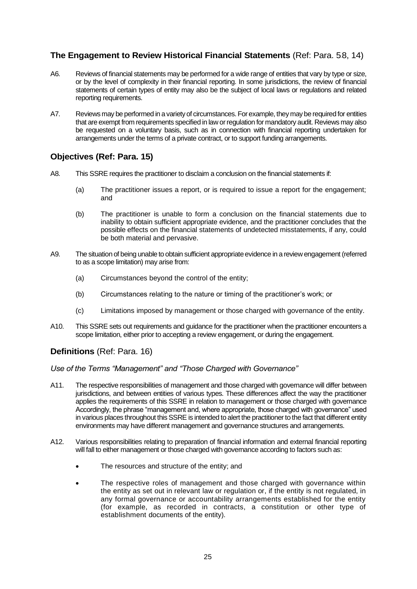## **The Engagement to Review Historical Financial Statements (Ref: Para. 58, 14)**

- A6. Reviews of financial statements may be performed for a wide range of entities that vary by type or size, or by the level of complexity in their financial reporting. In some jurisdictions, the review of financial statements of certain types of entity may also be the subject of local laws or regulations and related reporting requirements.
- A7. Reviews may be performed in a variety of circumstances. For example, they may be required for entities that are exempt from requirements specified in law or regulation for mandatory audit. Reviews may also be requested on a voluntary basis, such as in connection with financial reporting undertaken for arrangements under the terms of a private contract, or to support funding arrangements.

## **Objectives (Ref: Para. 15)**

- A8. This SSRE requires the practitioner to disclaim a conclusion on the financial statements if:
	- (a) The practitioner issues a report, or is required to issue a report for the engagement; and
	- (b) The practitioner is unable to form a conclusion on the financial statements due to inability to obtain sufficient appropriate evidence, and the practitioner concludes that the possible effects on the financial statements of undetected misstatements, if any, could be both material and pervasive.
- A9. The situation of being unable to obtain sufficient appropriate evidence in a review engagement (referred to as a scope limitation) may arise from:
	- (a) Circumstances beyond the control of the entity;
	- (b) Circumstances relating to the nature or timing of the practitioner's work; or
	- (c) Limitations imposed by management or those charged with governance of the entity.
- A10. This SSRE sets out requirements and guidance for the practitioner when the practitioner encounters a scope limitation, either prior to accepting a review engagement, or during the engagement.

## **Definitions** (Ref: Para. 16)

#### *Use of the Terms "Management" and "Those Charged with Governance"*

- A11. The respective responsibilities of management and those charged with governance will differ between jurisdictions, and between entities of various types. These differences affect the way the practitioner applies the requirements of this SSRE in relation to management or those charged with governance Accordingly, the phrase "management and, where appropriate, those charged with governance" used in various places throughout this SSRE is intended to alert the practitioner to the fact that different entity environments may have different management and governance structures and arrangements.
- A12. Various responsibilities relating to preparation of financial information and external financial reporting will fall to either management or those charged with governance according to factors such as:
	- The resources and structure of the entity; and
	- The respective roles of management and those charged with governance within the entity as set out in relevant law or regulation or, if the entity is not regulated, in any formal governance or accountability arrangements established for the entity (for example, as recorded in contracts, a constitution or other type of establishment documents of the entity).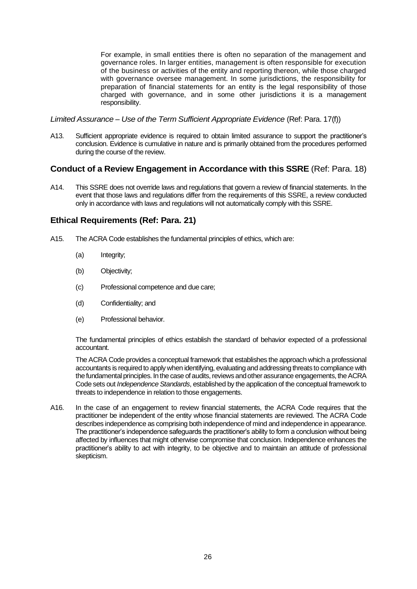For example, in small entities there is often no separation of the management and governance roles. In larger entities, management is often responsible for execution of the business or activities of the entity and reporting thereon, while those charged with governance oversee management. In some jurisdictions, the responsibility for preparation of financial statements for an entity is the legal responsibility of those charged with governance, and in some other jurisdictions it is a management responsibility.

*Limited Assurance – Use of the Term Sufficient Appropriate Evidence* (Ref: Para. 17(f))

A13. Sufficient appropriate evidence is required to obtain limited assurance to support the practitioner's conclusion. Evidence is cumulative in nature and is primarily obtained from the procedures performed during the course of the review.

## **Conduct of a Review Engagement in Accordance with this SSRE** (Ref: Para. 18)

A14. This SSRE does not override laws and regulations that govern a review of financial statements. In the event that those laws and regulations differ from the requirements of this SSRE, a review conducted only in accordance with laws and regulations will not automatically comply with this SSRE.

## **Ethical Requirements (Ref: Para. 21)**

- A15. The ACRA Code establishes the fundamental principles of ethics, which are:
	- (a) Integrity;
	- (b) Objectivity;
	- (c) Professional competence and due care;
	- (d) Confidentiality; and
	- (e) Professional behavior.

The fundamental principles of ethics establish the standard of behavior expected of a professional accountant.

The ACRA Code provides a conceptual framework that establishes the approach which a professional accountants is required to apply when identifying, evaluating and addressing threats to compliance with the fundamental principles. In the case of audits, reviews and other assurance engagements, the ACRA Code sets out *Independence Standards*, established by the application of the conceptual framework to threats to independence in relation to those engagements.

A16. In the case of an engagement to review financial statements, the ACRA Code requires that the practitioner be independent of the entity whose financial statements are reviewed. The ACRA Code describes independence as comprising both independence of mind and independence in appearance. The practitioner's independence safeguards the practitioner's ability to form a conclusion without being affected by influences that might otherwise compromise that conclusion. Independence enhances the practitioner's ability to act with integrity, to be objective and to maintain an attitude of professional skepticism.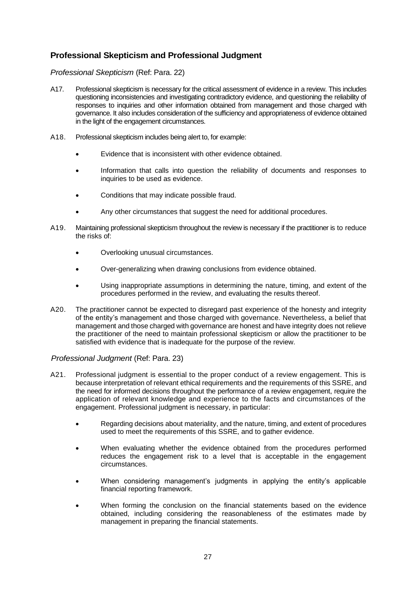## **Professional Skepticism and Professional Judgment**

### *Professional Skepticism* (Ref: Para. 22)

- A17. Professional skepticism is necessary for the critical assessment of evidence in a review. This includes questioning inconsistencies and investigating contradictory evidence, and questioning the reliability of responses to inquiries and other information obtained from management and those charged with governance. It also includes consideration of the sufficiency and appropriateness of evidence obtained in the light of the engagement circumstances.
- A18. Professional skepticism includes being alert to, for example:
	- Evidence that is inconsistent with other evidence obtained.
	- Information that calls into question the reliability of documents and responses to inquiries to be used as evidence.
	- Conditions that may indicate possible fraud.
	- Any other circumstances that suggest the need for additional procedures.
- A19. Maintaining professional skepticism throughout the review is necessary if the practitioner is to reduce the risks of:
	- Overlooking unusual circumstances.
	- Over-generalizing when drawing conclusions from evidence obtained.
	- Using inappropriate assumptions in determining the nature, timing, and extent of the procedures performed in the review, and evaluating the results thereof.
- A20. The practitioner cannot be expected to disregard past experience of the honesty and integrity of the entity's management and those charged with governance. Nevertheless, a belief that management and those charged with governance are honest and have integrity does not relieve the practitioner of the need to maintain professional skepticism or allow the practitioner to be satisfied with evidence that is inadequate for the purpose of the review.

## *Professional Judgment* (Ref: Para. 23)

- A21. Professional judgment is essential to the proper conduct of a review engagement. This is because interpretation of relevant ethical requirements and the requirements of this SSRE, and the need for informed decisions throughout the performance of a review engagement, require the application of relevant knowledge and experience to the facts and circumstances of the engagement. Professional judgment is necessary, in particular:
	- Regarding decisions about materiality, and the nature, timing, and extent of procedures used to meet the requirements of this SSRE, and to gather evidence.
	- When evaluating whether the evidence obtained from the procedures performed reduces the engagement risk to a level that is acceptable in the engagement circumstances.
	- When considering management's judgments in applying the entity's applicable financial reporting framework.
	- When forming the conclusion on the financial statements based on the evidence obtained, including considering the reasonableness of the estimates made by management in preparing the financial statements.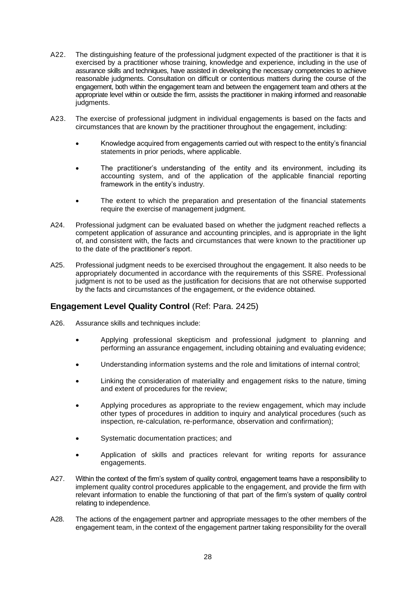- A22. The distinguishing feature of the professional judgment expected of the practitioner is that it is exercised by a practitioner whose training, knowledge and experience, including in the use of assurance skills and techniques, have assisted in developing the necessary competencies to achieve reasonable judgments. Consultation on difficult or contentious matters during the course of the engagement, both within the engagement team and between the engagement team and others at the appropriate level within or outside the firm, assists the practitioner in making informed and reasonable judgments.
- A23. The exercise of professional judgment in individual engagements is based on the facts and circumstances that are known by the practitioner throughout the engagement, including:
	- Knowledge acquired from engagements carried out with respect to the entity's financial statements in prior periods, where applicable.
	- The practitioner's understanding of the entity and its environment, including its accounting system, and of the application of the applicable financial reporting framework in the entity's industry.
	- The extent to which the preparation and presentation of the financial statements require the exercise of management judgment.
- A24. Professional judgment can be evaluated based on whether the judgment reached reflects a competent application of assurance and accounting principles, and is appropriate in the light of, and consistent with, the facts and circumstances that were known to the practitioner up to the date of the practitioner's report.
- A25. Professional judgment needs to be exercised throughout the engagement. It also needs to be appropriately documented in accordance with the requirements of this SSRE. Professional judgment is not to be used as the justification for decisions that are not otherwise supported by the facts and circumstances of the engagement, or the evidence obtained.

## **Engagement Level Quality Control (Ref: Para. 2425)**

- A26. Assurance skills and techniques include:
	- Applying professional skepticism and professional judgment to planning and performing an assurance engagement, including obtaining and evaluating evidence;
	- Understanding information systems and the role and limitations of internal control;
	- Linking the consideration of materiality and engagement risks to the nature, timing and extent of procedures for the review;
	- Applying procedures as appropriate to the review engagement, which may include other types of procedures in addition to inquiry and analytical procedures (such as inspection, re-calculation, re-performance, observation and confirmation);
	- Systematic documentation practices; and
	- Application of skills and practices relevant for writing reports for assurance engagements.
- A27. Within the context of the firm's system of quality control, engagement teams have a responsibility to implement quality control procedures applicable to the engagement, and provide the firm with relevant information to enable the functioning of that part of the firm's system of quality control relating to independence.
- A28. The actions of the engagement partner and appropriate messages to the other members of the engagement team, in the context of the engagement partner taking responsibility for the overall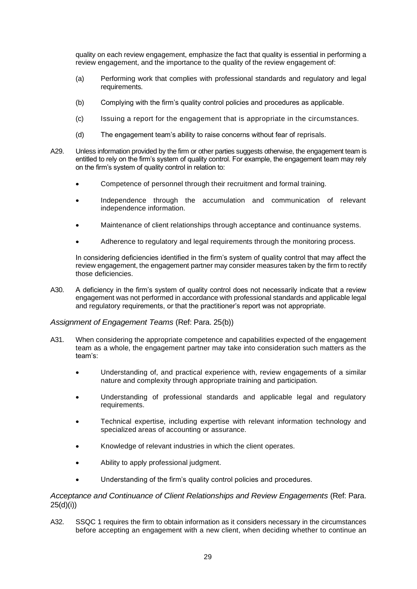quality on each review engagement, emphasize the fact that quality is essential in performing a review engagement, and the importance to the quality of the review engagement of:

- (a) Performing work that complies with professional standards and regulatory and legal requirements.
- (b) Complying with the firm's quality control policies and procedures as applicable.
- (c) Issuing a report for the engagement that is appropriate in the circumstances.
- (d) The engagement team's ability to raise concerns without fear of reprisals.
- A29. Unless information provided by the firm or other parties suggests otherwise, the engagement team is entitled to rely on the firm's system of quality control. For example, the engagement team may rely on the firm's system of quality control in relation to:
	- Competence of personnel through their recruitment and formal training.
	- Independence through the accumulation and communication of relevant independence information.
	- Maintenance of client relationships through acceptance and continuance systems.
	- Adherence to regulatory and legal requirements through the monitoring process.

In considering deficiencies identified in the firm's system of quality control that may affect the review engagement, the engagement partner may consider measures taken by the firm to rectify those deficiencies.

A30. A deficiency in the firm's system of quality control does not necessarily indicate that a review engagement was not performed in accordance with professional standards and applicable legal and regulatory requirements, or that the practitioner's report was not appropriate.

#### *Assignment of Engagement Teams* (Ref: Para. 25(b))

- A31. When considering the appropriate competence and capabilities expected of the engagement team as a whole, the engagement partner may take into consideration such matters as the team's:
	- Understanding of, and practical experience with, review engagements of a similar nature and complexity through appropriate training and participation.
	- Understanding of professional standards and applicable legal and regulatory requirements.
	- Technical expertise, including expertise with relevant information technology and specialized areas of accounting or assurance.
	- Knowledge of relevant industries in which the client operates.
	- Ability to apply professional judgment.
	- Understanding of the firm's quality control policies and procedures.

#### *Acceptance and Continuance of Client Relationships and Review Engagements* (Ref: Para. 25(d)(i))

A32. SSQC 1 requires the firm to obtain information as it considers necessary in the circumstances before accepting an engagement with a new client, when deciding whether to continue an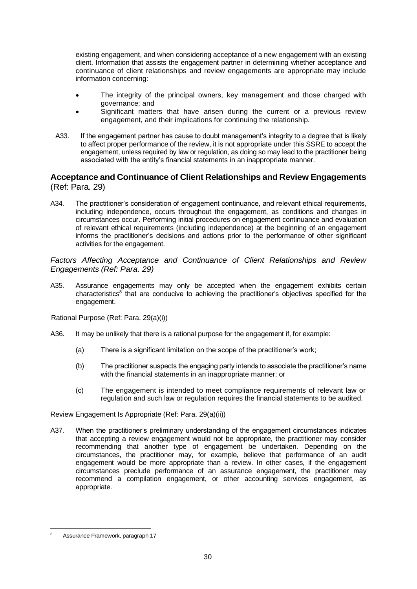existing engagement, and when considering acceptance of a new engagement with an existing client. Information that assists the engagement partner in determining whether acceptance and continuance of client relationships and review engagements are appropriate may include information concerning:

- The integrity of the principal owners, key management and those charged with governance; and
- Significant matters that have arisen during the current or a previous review engagement, and their implications for continuing the relationship.
- A33. If the engagement partner has cause to doubt management's integrity to a degree that is likely to affect proper performance of the review, it is not appropriate under this SSRE to accept the engagement, unless required by law or regulation, as doing so may lead to the practitioner being associated with the entity's financial statements in an inappropriate manner.

## **Acceptance and Continuance of Client Relationships and Review Engagements**  (Ref: Para. 29)

A34. The practitioner's consideration of engagement continuance, and relevant ethical requirements, including independence, occurs throughout the engagement, as conditions and changes in circumstances occur. Performing initial procedures on engagement continuance and evaluation of relevant ethical requirements (including independence) at the beginning of an engagement informs the practitioner's decisions and actions prior to the performance of other significant activities for the engagement.

*Factors Affecting Acceptance and Continuance of Client Relationships and Review Engagements (Ref: Para. 29)*

A35. Assurance engagements may only be accepted when the engagement exhibits certain characteristics<sup>8</sup> that are conducive to achieving the practitioner's objectives specified for the engagement.

Rational Purpose (Ref: Para. 29(a)(i))

- A36. It may be unlikely that there is a rational purpose for the engagement if, for example:
	- (a) There is a significant limitation on the scope of the practitioner's work;
	- (b) The practitioner suspects the engaging party intends to associate the practitioner's name with the financial statements in an inappropriate manner; or
	- (c) The engagement is intended to meet compliance requirements of relevant law or regulation and such law or regulation requires the financial statements to be audited.

#### Review Engagement Is Appropriate (Ref: Para. 29(a)(ii))

A37. When the practitioner's preliminary understanding of the engagement circumstances indicates that accepting a review engagement would not be appropriate, the practitioner may consider recommending that another type of engagement be undertaken. Depending on the circumstances, the practitioner may, for example, believe that performance of an audit engagement would be more appropriate than a review. In other cases, if the engagement circumstances preclude performance of an assurance engagement, the practitioner may recommend a compilation engagement, or other accounting services engagement, as appropriate.

Assurance Framework, paragraph 17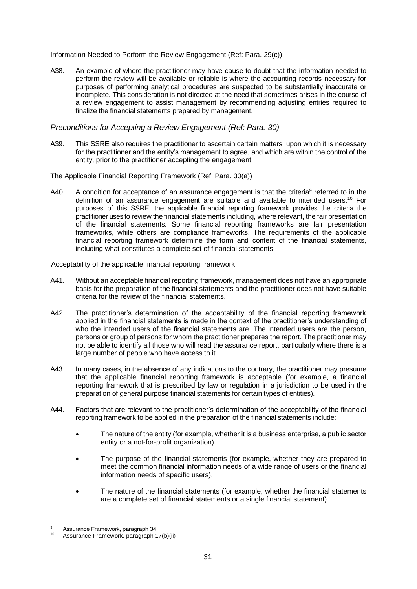Information Needed to Perform the Review Engagement (Ref: Para. 29(c))

A38. An example of where the practitioner may have cause to doubt that the information needed to perform the review will be available or reliable is where the accounting records necessary for purposes of performing analytical procedures are suspected to be substantially inaccurate or incomplete. This consideration is not directed at the need that sometimes arises in the course of a review engagement to assist management by recommending adjusting entries required to finalize the financial statements prepared by management.

#### *Preconditions for Accepting a Review Engagement (Ref: Para. 30)*

A39. This SSRE also requires the practitioner to ascertain certain matters, upon which it is necessary for the practitioner and the entity's management to agree, and which are within the control of the entity, prior to the practitioner accepting the engagement.

The Applicable Financial Reporting Framework (Ref: Para. 30(a))

A40. A condition for acceptance of an assurance engagement is that the criteria<sup>9</sup> referred to in the definition of an assurance engagement are suitable and available to intended users. <sup>10</sup> For purposes of this SSRE, the applicable financial reporting framework provides the criteria the practitioner uses to review the financial statements including, where relevant, the fair presentation of the financial statements. Some financial reporting frameworks are fair presentation frameworks, while others are compliance frameworks. The requirements of the applicable financial reporting framework determine the form and content of the financial statements, including what constitutes a complete set of financial statements.

Acceptability of the applicable financial reporting framework

- A41. Without an acceptable financial reporting framework, management does not have an appropriate basis for the preparation of the financial statements and the practitioner does not have suitable criteria for the review of the financial statements.
- A42. The practitioner's determination of the acceptability of the financial reporting framework applied in the financial statements is made in the context of the practitioner's understanding of who the intended users of the financial statements are. The intended users are the person, persons or group of persons for whom the practitioner prepares the report. The practitioner may not be able to identify all those who will read the assurance report, particularly where there is a large number of people who have access to it.
- A43. In many cases, in the absence of any indications to the contrary, the practitioner may presume that the applicable financial reporting framework is acceptable (for example, a financial reporting framework that is prescribed by law or regulation in a jurisdiction to be used in the preparation of general purpose financial statements for certain types of entities).
- A44. Factors that are relevant to the practitioner's determination of the acceptability of the financial reporting framework to be applied in the preparation of the financial statements include:
	- The nature of the entity (for example, whether it is a business enterprise, a public sector entity or a not-for-profit organization).
	- The purpose of the financial statements (for example, whether they are prepared to meet the common financial information needs of a wide range of users or the financial information needs of specific users).
	- The nature of the financial statements (for example, whether the financial statements are a complete set of financial statements or a single financial statement).

Assurance Framework, paragraph 34

Assurance Framework, paragraph 17(b)(ii)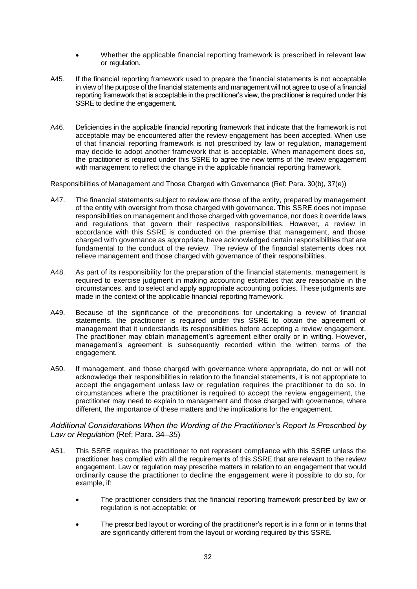- Whether the applicable financial reporting framework is prescribed in relevant law or regulation.
- A45. If the financial reporting framework used to prepare the financial statements is not acceptable in view of the purpose of the financial statements and management will not agree to use of a financial reporting framework that is acceptable in the practitioner's view, the practitioner is required under this SSRE to decline the engagement.
- A46. Deficiencies in the applicable financial reporting framework that indicate that the framework is not acceptable may be encountered after the review engagement has been accepted. When use of that financial reporting framework is not prescribed by law or regulation, management may decide to adopt another framework that is acceptable. When management does so, the practitioner is required under this SSRE to agree the new terms of the review engagement with management to reflect the change in the applicable financial reporting framework.

Responsibilities of Management and Those Charged with Governance (Ref: Para. 30(b), 37(e))

- A47. The financial statements subject to review are those of the entity, prepared by management of the entity with oversight from those charged with governance. This SSRE does not impose responsibilities on management and those charged with governance, nor does it override laws and regulations that govern their respective responsibilities. However, a review in accordance with this SSRE is conducted on the premise that management, and those charged with governance as appropriate, have acknowledged certain responsibilities that are fundamental to the conduct of the review. The review of the financial statements does not relieve management and those charged with governance of their responsibilities.
- A48. As part of its responsibility for the preparation of the financial statements, management is required to exercise judgment in making accounting estimates that are reasonable in the circumstances, and to select and apply appropriate accounting policies. These judgments are made in the context of the applicable financial reporting framework.
- A49. Because of the significance of the preconditions for undertaking a review of financial statements, the practitioner is required under this SSRE to obtain the agreement of management that it understands its responsibilities before accepting a review engagement. The practitioner may obtain management's agreement either orally or in writing. However, management's agreement is subsequently recorded within the written terms of the engagement.
- A50. If management, and those charged with governance where appropriate, do not or will not acknowledge their responsibilities in relation to the financial statements, it is not appropriate to accept the engagement unless law or regulation requires the practitioner to do so. In circumstances where the practitioner is required to accept the review engagement, the practitioner may need to explain to management and those charged with governance, where different, the importance of these matters and the implications for the engagement.

#### *Additional Considerations When the Wording of the Practitioner's Report Is Prescribed by Law or Regulation* (Ref: Para. 34*–35*)

- A51. This SSRE requires the practitioner to not represent compliance with this SSRE unless the practitioner has complied with all the requirements of this SSRE that are relevant to the review engagement. Law or regulation may prescribe matters in relation to an engagement that would ordinarily cause the practitioner to decline the engagement were it possible to do so, for example, if:
	- The practitioner considers that the financial reporting framework prescribed by law or regulation is not acceptable; or
	- The prescribed layout or wording of the practitioner's report is in a form or in terms that are significantly different from the layout or wording required by this SSRE.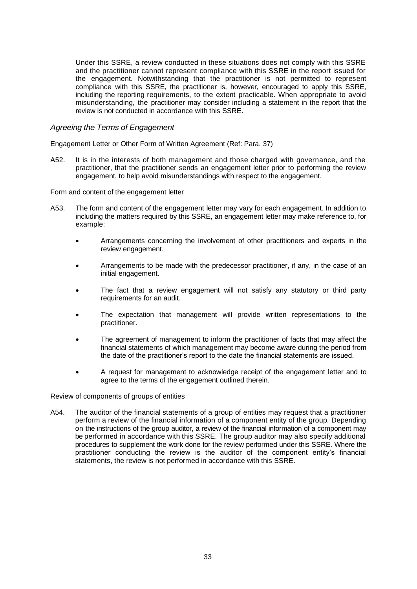Under this SSRE, a review conducted in these situations does not comply with this SSRE and the practitioner cannot represent compliance with this SSRE in the report issued for the engagement. Notwithstanding that the practitioner is not permitted to represent compliance with this SSRE, the practitioner is, however, encouraged to apply this SSRE, including the reporting requirements, to the extent practicable. When appropriate to avoid misunderstanding, the practitioner may consider including a statement in the report that the review is not conducted in accordance with this SSRE.

#### *Agreeing the Terms of Engagement*

Engagement Letter or Other Form of Written Agreement (Ref: Para. 37)

A52. It is in the interests of both management and those charged with governance, and the practitioner, that the practitioner sends an engagement letter prior to performing the review engagement, to help avoid misunderstandings with respect to the engagement.

Form and content of the engagement letter

- A53. The form and content of the engagement letter may vary for each engagement. In addition to including the matters required by this SSRE, an engagement letter may make reference to, for example:
	- Arrangements concerning the involvement of other practitioners and experts in the review engagement.
	- Arrangements to be made with the predecessor practitioner, if any, in the case of an initial engagement.
	- The fact that a review engagement will not satisfy any statutory or third party requirements for an audit.
	- The expectation that management will provide written representations to the practitioner.
	- The agreement of management to inform the practitioner of facts that may affect the financial statements of which management may become aware during the period from the date of the practitioner's report to the date the financial statements are issued.
	- A request for management to acknowledge receipt of the engagement letter and to agree to the terms of the engagement outlined therein.

Review of components of groups of entities

A54. The auditor of the financial statements of a group of entities may request that a practitioner perform a review of the financial information of a component entity of the group. Depending on the instructions of the group auditor, a review of the financial information of a component may be performed in accordance with this SSRE. The group auditor may also specify additional procedures to supplement the work done for the review performed under this SSRE. Where the practitioner conducting the review is the auditor of the component entity's financial statements, the review is not performed in accordance with this SSRE.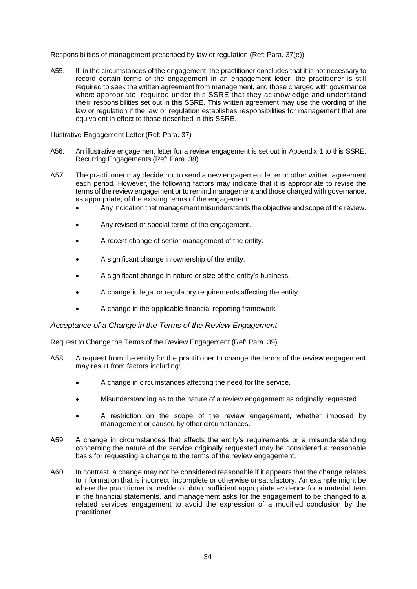Responsibilities of management prescribed by law or regulation (Ref: Para. 37(e))

A55. If, in the circumstances of the engagement, the practitioner concludes that it is not necessary to record certain terms of the engagement in an engagement letter, the practitioner is still required to seek the written agreement from management, and those charged with governance where appropriate, required under this SSRE that they acknowledge and unders tand their responsibilities set out in this SSRE. This written agreement may use the wording of the law or regulation if the law or regulation establishes responsibilities for management that are equivalent in effect to those described in this SSRE.

Illustrative Engagement Letter (Ref: Para. 37)

- A56. An illustrative engagement letter for a review engagement is set out in Appendix 1 to this SSRE. Recurring Engagements (Ref: Para. 38)
- A57. The practitioner may decide not to send a new engagement letter or other written agreement each period. However, the following factors may indicate that it is appropriate to revise the terms of the review engagement or to remind management and those charged with governance, as appropriate, of the existing terms of the engagement:
	- Any indication that management misunderstands the objective and scope of the review.
	- Any revised or special terms of the engagement.
	- A recent change of senior management of the entity.
	- A significant change in ownership of the entity.
	- A significant change in nature or size of the entity's business.
	- A change in legal or regulatory requirements affecting the entity.
	- A change in the applicable financial reporting framework.

#### *Acceptance of a Change in the Terms of the Review Engagement*

Request to Change the Terms of the Review Engagement (Ref: Para. 39)

- A58. A request from the entity for the practitioner to change the terms of the review engagement may result from factors including:
	- A change in circumstances affecting the need for the service.
	- Misunderstanding as to the nature of a review engagement as originally requested.
	- A restriction on the scope of the review engagement, whether imposed by management or caused by other circumstances.
- A59. A change in circumstances that affects the entity's requirements or a misunderstanding concerning the nature of the service originally requested may be considered a reasonable basis for requesting a change to the terms of the review engagement.
- A60. In contrast, a change may not be considered reasonable if it appears that the change relates to information that is incorrect, incomplete or otherwise unsatisfactory. An example might be where the practitioner is unable to obtain sufficient appropriate evidence for a material item in the financial statements, and management asks for the engagement to be changed to a related services engagement to avoid the expression of a modified conclusion by the practitioner.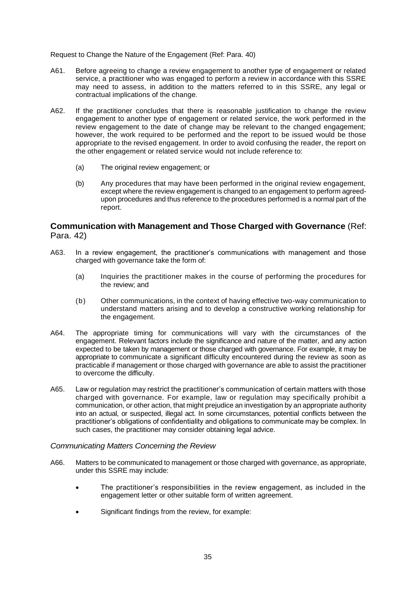Request to Change the Nature of the Engagement (Ref: Para. 40)

- A61. Before agreeing to change a review engagement to another type of engagement or related service, a practitioner who was engaged to perform a review in accordance with this SSRE may need to assess, in addition to the matters referred to in this SSRE, any legal or contractual implications of the change.
- A62. If the practitioner concludes that there is reasonable justification to change the review engagement to another type of engagement or related service, the work performed in the review engagement to the date of change may be relevant to the changed engagement; however, the work required to be performed and the report to be issued would be those appropriate to the revised engagement. In order to avoid confusing the reader, the report on the other engagement or related service would not include reference to:
	- (a) The original review engagement; or
	- (b) Any procedures that may have been performed in the original review engagement, except where the review engagement is changed to an engagement to perform agreedupon procedures and thus reference to the procedures performed is a normal part of the report.

## **Communication with Management and Those Charged with Governance** (Ref: Para. 42)

- A63. In a review engagement, the practitioner's communications with management and those charged with governance take the form of:
	- (a) Inquiries the practitioner makes in the course of performing the procedures for the review; and
	- (b) Other communications, in the context of having effective two-way communication to understand matters arising and to develop a constructive working relationship for the engagement.
- A64. The appropriate timing for communications will vary with the circumstances of the engagement. Relevant factors include the significance and nature of the matter, and any action expected to be taken by management or those charged with governance. For example, it may be appropriate to communicate a significant difficulty encountered during the review as soon as practicable if management or those charged with governance are able to assist the practitioner to overcome the difficulty.
- A65. Law or regulation may restrict the practitioner's communication of certain matters with those charged with governance. For example, law or regulation may specifically prohibit a communication, or other action, that might prejudice an investigation by an appropriate authority into an actual, or suspected, illegal act. In some circumstances, potential conflicts between the practitioner's obligations of confidentiality and obligations to communicate may be complex. In such cases, the practitioner may consider obtaining legal advice.

#### *Communicating Matters Concerning the Review*

- A66. Matters to be communicated to management or those charged with governance, as appropriate, under this SSRE may include:
	- The practitioner's responsibilities in the review engagement, as included in the engagement letter or other suitable form of written agreement.
	- Significant findings from the review, for example: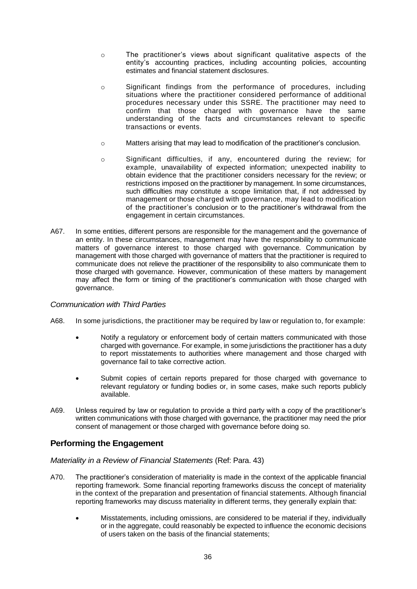- $\circ$  The practitioner's views about significant qualitative aspects of the entity's accounting practices, including accounting policies, accounting estimates and financial statement disclosures.
- o Significant findings from the performance of procedures, including situations where the practitioner considered performance of additional procedures necessary under this SSRE. The practitioner may need to confirm that those charged with governance have the same understanding of the facts and circumstances relevant to specific transactions or events.
- o Matters arising that may lead to modification of the practitioner's conclusion.
- o Significant difficulties, if any, encountered during the review; for example, unavailability of expected information; unexpected inability to obtain evidence that the practitioner considers necessary for the review; or restrictions imposed on the practitioner by management. In some circumstances, such difficulties may constitute a scope limitation that, if not addressed by management or those charged with governance, may lead to modification of the practitioner's conclusion or to the practitioner's withdrawal from the engagement in certain circumstances.
- A67. In some entities, different persons are responsible for the management and the governance of an entity. In these circumstances, management may have the responsibility to communicate matters of governance interest to those charged with governance. Communication by management with those charged with governance of matters that the practitioner is required to communicate does not relieve the practitioner of the responsibility to also communicate them to those charged with governance. However, communication of these matters by management may affect the form or timing of the practitioner's communication with those charged with governance.

#### *Communication with Third Parties*

- A68. In some jurisdictions, the practitioner may be required by law or regulation to, for example:
	- Notify a regulatory or enforcement body of certain matters communicated with those charged with governance. For example, in some jurisdictions the practitioner has a duty to report misstatements to authorities where management and those charged with governance fail to take corrective action.
	- Submit copies of certain reports prepared for those charged with governance to relevant regulatory or funding bodies or, in some cases, make such reports publicly available.
- A69. Unless required by law or regulation to provide a third party with a copy of the practitioner's written communications with those charged with governance, the practitioner may need the prior consent of management or those charged with governance before doing so.

## **Performing the Engagement**

#### *Materiality in a Review of Financial Statements* (Ref: Para. 43)

- A70. The practitioner's consideration of materiality is made in the context of the applicable financial reporting framework. Some financial reporting frameworks discuss the concept of materiality in the context of the preparation and presentation of financial statements. Although financial reporting frameworks may discuss materiality in different terms, they generally explain that:
	- Misstatements, including omissions, are considered to be material if they, individually or in the aggregate, could reasonably be expected to influence the economic decisions of users taken on the basis of the financial statements;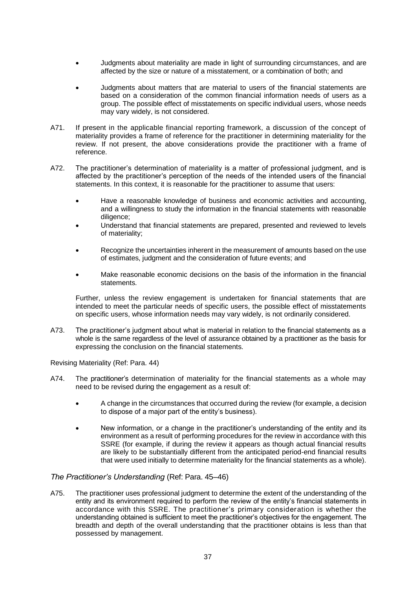- Judgments about materiality are made in light of surrounding circumstances, and are affected by the size or nature of a misstatement, or a combination of both; and
- Judgments about matters that are material to users of the financial statements are based on a consideration of the common financial information needs of users as a group. The possible effect of misstatements on specific individual users, whose needs may vary widely, is not considered.
- A71. If present in the applicable financial reporting framework, a discussion of the concept of materiality provides a frame of reference for the practitioner in determining materiality for the review. If not present, the above considerations provide the practitioner with a frame of reference.
- A72. The practitioner's determination of materiality is a matter of professional judgment, and is affected by the practitioner's perception of the needs of the intended users of the financial statements. In this context, it is reasonable for the practitioner to assume that users:
	- Have a reasonable knowledge of business and economic activities and accounting, and a willingness to study the information in the financial statements with reasonable diligence;
	- Understand that financial statements are prepared, presented and reviewed to levels of materiality;
	- Recognize the uncertainties inherent in the measurement of amounts based on the use of estimates, judgment and the consideration of future events; and
	- Make reasonable economic decisions on the basis of the information in the financial statements.

Further, unless the review engagement is undertaken for financial statements that are intended to meet the particular needs of specific users, the possible effect of misstatements on specific users, whose information needs may vary widely, is not ordinarily considered.

A73. The practitioner's judgment about what is material in relation to the financial statements as a whole is the same regardless of the level of assurance obtained by a practitioner as the basis for expressing the conclusion on the financial statements.

Revising Materiality (Ref: Para. 44)

- A74. The practitioner's determination of materiality for the financial statements as a whole may need to be revised during the engagement as a result of:
	- A change in the circumstances that occurred during the review (for example, a decision to dispose of a major part of the entity's business).
	- New information, or a change in the practitioner's understanding of the entity and its environment as a result of performing procedures for the review in accordance with this SSRE (for example, if during the review it appears as though actual financial results are likely to be substantially different from the anticipated period-end financial results that were used initially to determine materiality for the financial statements as a whole).

#### *The Practitioner's Understanding* (Ref: Para. 45*–*46)

A75. The practitioner uses professional judgment to determine the extent of the understanding of the entity and its environment required to perform the review of the entity's financial statements in accordance with this SSRE. The practitioner's primary consideration is whether the understanding obtained is sufficient to meet the practitioner's objectives for the engagement. The breadth and depth of the overall understanding that the practitioner obtains is less than that possessed by management.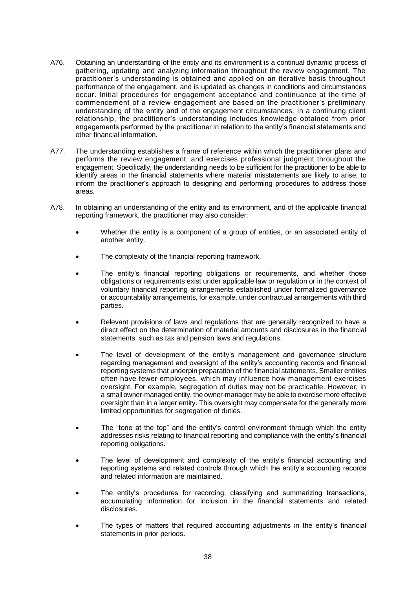- A76. Obtaining an understanding of the entity and its environment is a continual dynamic process of gathering, updating and analyzing information throughout the review engagement. The practitioner's understanding is obtained and applied on an iterative basis throughout performance of the engagement, and is updated as changes in conditions and circumstances occur. Initial procedures for engagement acceptance and continuance at the time of commencement of a review engagement are based on the practitioner's preliminary understanding of the entity and of the engagement circumstances. In a continuing client relationship, the practitioner's understanding includes knowledge obtained from prior engagements performed by the practitioner in relation to the entity's financial statements and other financial information.
- A77. The understanding establishes a frame of reference within which the practitioner plans and performs the review engagement, and exercises professional judgment throughout the engagement. Specifically, the understanding needs to be sufficient for the practitioner to be able to identify areas in the financial statements where material misstatements are likely to arise, to inform the practitioner's approach to designing and performing procedures to address those areas.
- A78. In obtaining an understanding of the entity and its environment, and of the applicable financial reporting framework, the practitioner may also consider:
	- Whether the entity is a component of a group of entities, or an associated entity of another entity.
	- The complexity of the financial reporting framework.
	- The entity's financial reporting obligations or requirements, and whether those obligations or requirements exist under applicable law or regulation or in the context of voluntary financial reporting arrangements established under formalized governance or accountability arrangements, for example, under contractual arrangements with third parties.
	- Relevant provisions of laws and regulations that are generally recognized to have a direct effect on the determination of material amounts and disclosures in the financial statements, such as tax and pension laws and regulations.
	- The level of development of the entity's management and governance structure regarding management and oversight of the entity's accounting records and financial reporting systems that underpin preparation of the financial statements. Smaller entities often have fewer employees, which may influence how management exercises oversight. For example, segregation of duties may not be practicable. However, in a small owner-managed entity, the owner-manager may be able to exercise more effective oversight than in a larger entity. This oversight may compensate for the generally more limited opportunities for segregation of duties.
	- The "tone at the top" and the entity's control environment through which the entity addresses risks relating to financial reporting and compliance with the entity's financial reporting obligations.
	- The level of development and complexity of the entity's financial accounting and reporting systems and related controls through which the entity's accounting records and related information are maintained.
	- The entity's procedures for recording, classifying and summarizing transactions, accumulating information for inclusion in the financial statements and related disclosures.
	- The types of matters that required accounting adjustments in the entity's financial statements in prior periods.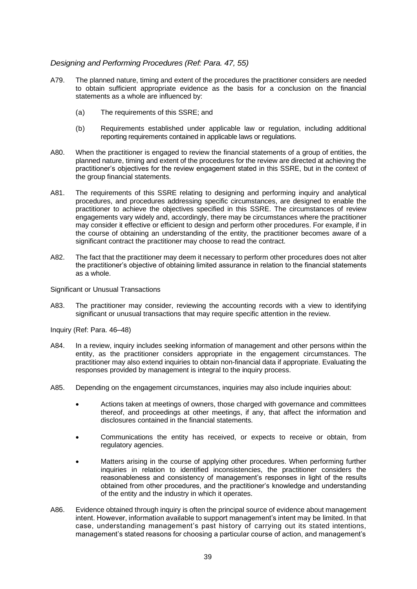### *Designing and Performing Procedures (Ref: Para. 47, 55)*

- A79. The planned nature, timing and extent of the procedures the practitioner considers are needed to obtain sufficient appropriate evidence as the basis for a conclusion on the financial statements as a whole are influenced by:
	- (a) The requirements of this SSRE; and
	- (b) Requirements established under applicable law or regulation, including additional reporting requirements contained in applicable laws or regulations.
- A80. When the practitioner is engaged to review the financial statements of a group of entities, the planned nature, timing and extent of the procedures for the review are directed at achieving the practitioner's objectives for the review engagement stated in this SSRE, but in the context of the group financial statements.
- A81. The requirements of this SSRE relating to designing and performing inquiry and analytical procedures, and procedures addressing specific circumstances, are designed to enable the practitioner to achieve the objectives specified in this SSRE. The circumstances of review engagements vary widely and, accordingly, there may be circumstances where the practitioner may consider it effective or efficient to design and perform other procedures. For example, if in the course of obtaining an understanding of the entity, the practitioner becomes aware of a significant contract the practitioner may choose to read the contract.
- A82. The fact that the practitioner may deem it necessary to perform other procedures does not alter the practitioner's objective of obtaining limited assurance in relation to the financial statements as a whole.

#### Significant or Unusual Transactions

A83. The practitioner may consider, reviewing the accounting records with a view to identifying significant or unusual transactions that may require specific attention in the review.

Inquiry (Ref: Para. 46–48)

- A84. In a review, inquiry includes seeking information of management and other persons within the entity, as the practitioner considers appropriate in the engagement circumstances. The practitioner may also extend inquiries to obtain non-financial data if appropriate. Evaluating the responses provided by management is integral to the inquiry process.
- A85. Depending on the engagement circumstances, inquiries may also include inquiries about:
	- Actions taken at meetings of owners, those charged with governance and committees thereof, and proceedings at other meetings, if any, that affect the information and disclosures contained in the financial statements.
	- Communications the entity has received, or expects to receive or obtain, from regulatory agencies.
	- Matters arising in the course of applying other procedures. When performing further inquiries in relation to identified inconsistencies, the practitioner considers the reasonableness and consistency of management's responses in light of the results obtained from other procedures, and the practitioner's knowledge and understanding of the entity and the industry in which it operates.
- A86. Evidence obtained through inquiry is often the principal source of evidence about management intent. However, information available to support management's intent may be limited. In that case, understanding management's past history of carrying out its stated intentions, management's stated reasons for choosing a particular course of action, and management's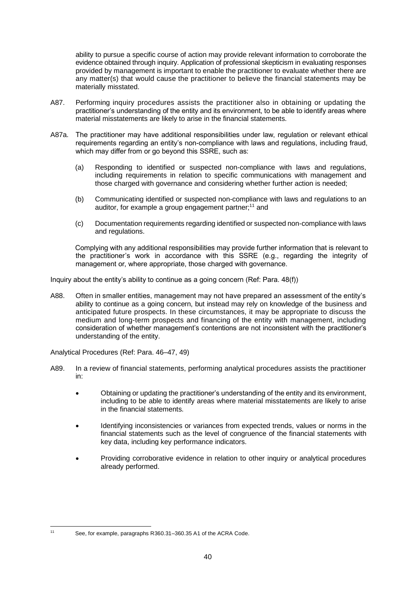ability to pursue a specific course of action may provide relevant information to corroborate the evidence obtained through inquiry. Application of professional skepticism in evaluating responses provided by management is important to enable the practitioner to evaluate whether there are any matter(s) that would cause the practitioner to believe the financial statements may be materially misstated.

- A87. Performing inquiry procedures assists the practitioner also in obtaining or updating the practitioner's understanding of the entity and its environment, to be able to identify areas where material misstatements are likely to arise in the financial statements.
- A87a. The practitioner may have additional responsibilities under law, regulation or relevant ethical requirements regarding an entity's non-compliance with laws and regulations, including fraud, which may differ from or go beyond this SSRE, such as:
	- (a) Responding to identified or suspected non-compliance with laws and regulations, including requirements in relation to specific communications with management and those charged with governance and considering whether further action is needed;
	- (b) Communicating identified or suspected non-compliance with laws and regulations to an auditor, for example a group engagement partner;<sup>11</sup> and
	- (c) Documentation requirements regarding identified or suspected non-compliance with laws and regulations.

Complying with any additional responsibilities may provide further information that is relevant to the practitioner's work in accordance with this SSRE (e.g., regarding the integrity of management or, where appropriate, those charged with governance.

Inquiry about the entity's ability to continue as a going concern (Ref: Para. 48(f))

A88. Often in smaller entities, management may not have prepared an assessment of the entity's ability to continue as a going concern, but instead may rely on knowledge of the business and anticipated future prospects. In these circumstances, it may be appropriate to discuss the medium and long-term prospects and financing of the entity with management, including consideration of whether management's contentions are not inconsistent with the practitioner's understanding of the entity.

Analytical Procedures (Ref: Para. 46–47, 49)

- A89. In a review of financial statements, performing analytical procedures assists the practitioner in:
	- Obtaining or updating the practitioner's understanding of the entity and its environment, including to be able to identify areas where material misstatements are likely to arise in the financial statements.
	- Identifying inconsistencies or variances from expected trends, values or norms in the financial statements such as the level of congruence of the financial statements with key data, including key performance indicators.
	- Providing corroborative evidence in relation to other inquiry or analytical procedures already performed.

See, for example, paragraphs R360.31-360.35 A1 of the ACRA Code.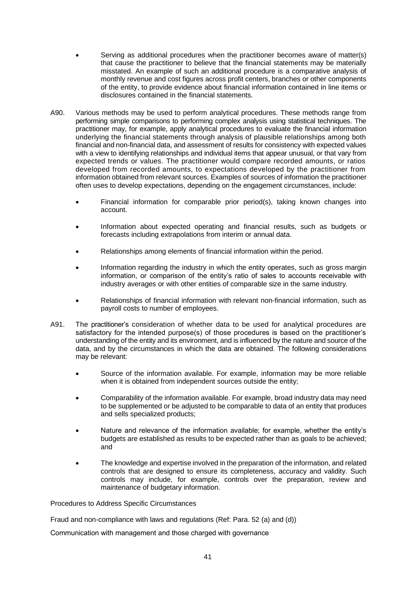- Serving as additional procedures when the practitioner becomes aware of matter(s) that cause the practitioner to believe that the financial statements may be materially misstated. An example of such an additional procedure is a comparative analysis of monthly revenue and cost figures across profit centers, branches or other components of the entity, to provide evidence about financial information contained in line items or disclosures contained in the financial statements.
- A90. Various methods may be used to perform analytical procedures. These methods range from performing simple comparisons to performing complex analysis using statistical techniques. The practitioner may, for example, apply analytical procedures to evaluate the financial information underlying the financial statements through analysis of plausible relationships among both financial and non-financial data, and assessment of results for consistency with expected values with a view to identifying relationships and individual items that appear unusual, or that vary from expected trends or values. The practitioner would compare recorded amounts, or ratios developed from recorded amounts, to expectations developed by the practitioner from information obtained from relevant sources. Examples of sources of information the practitioner often uses to develop expectations, depending on the engagement circumstances, include:
	- Financial information for comparable prior period(s), taking known changes into account.
	- Information about expected operating and financial results, such as budgets or forecasts including extrapolations from interim or annual data.
	- Relationships among elements of financial information within the period.
	- Information regarding the industry in which the entity operates, such as gross margin information, or comparison of the entity's ratio of sales to accounts receivable with industry averages or with other entities of comparable size in the same industry.
	- Relationships of financial information with relevant non-financial information, such as payroll costs to number of employees.
- A91. The practitioner's consideration of whether data to be used for analytical procedures are satisfactory for the intended purpose(s) of those procedures is based on the practitioner's understanding of the entity and its environment, and is influenced by the nature and source of the data, and by the circumstances in which the data are obtained. The following considerations may be relevant:
	- Source of the information available. For example, information may be more reliable when it is obtained from independent sources outside the entity;
	- Comparability of the information available. For example, broad industry data may need to be supplemented or be adjusted to be comparable to data of an entity that produces and sells specialized products;
	- Nature and relevance of the information available; for example, whether the entity's budgets are established as results to be expected rather than as goals to be achieved; and
	- The knowledge and expertise involved in the preparation of the information, and related controls that are designed to ensure its completeness, accuracy and validity. Such controls may include, for example, controls over the preparation, review and maintenance of budgetary information.

Procedures to Address Specific Circumstances

Fraud and non-compliance with laws and regulations (Ref: Para. 52 (a) and (d))

Communication with management and those charged with governance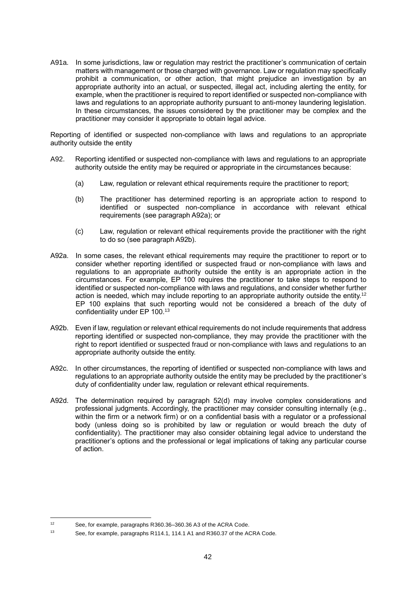A91a. In some jurisdictions, law or regulation may restrict the practitioner's communication of certain matters with management or those charged with governance. Law or regulation may specifically prohibit a communication, or other action, that might prejudice an investigation by an appropriate authority into an actual, or suspected, illegal act, including alerting the entity, for example, when the practitioner is required to report identified or suspected non-compliance with laws and regulations to an appropriate authority pursuant to anti-money laundering legislation. In these circumstances, the issues considered by the practitioner may be complex and the practitioner may consider it appropriate to obtain legal advice.

Reporting of identified or suspected non-compliance with laws and regulations to an appropriate authority outside the entity

- A92. Reporting identified or suspected non-compliance with laws and regulations to an appropriate authority outside the entity may be required or appropriate in the circumstances because:
	- (a) Law, regulation or relevant ethical requirements require the practitioner to report;
	- (b) The practitioner has determined reporting is an appropriate action to respond to identified or suspected non-compliance in accordance with relevant ethical requirements (see paragraph A92a); or
	- (c) Law, regulation or relevant ethical requirements provide the practitioner with the right to do so (see paragraph A92b).
- A92a. In some cases, the relevant ethical requirements may require the practitioner to report or to consider whether reporting identified or suspected fraud or non-compliance with laws and regulations to an appropriate authority outside the entity is an appropriate action in the circumstances. For example, EP 100 requires the practitioner to take steps to respond to identified or suspected non-compliance with laws and regulations, and consider whether further action is needed, which may include reporting to an appropriate authority outside the entity.<sup>12</sup> EP 100 explains that such reporting would not be considered a breach of the duty of confidentiality under EP 100.<sup>13</sup>
- A92b. Even if law, regulation or relevant ethical requirements do not include requirements that address reporting identified or suspected non-compliance, they may provide the practitioner with the right to report identified or suspected fraud or non-compliance with laws and regulations to an appropriate authority outside the entity.
- A92c. In other circumstances, the reporting of identified or suspected non-compliance with laws and regulations to an appropriate authority outside the entity may be precluded by the practitioner's duty of confidentiality under law, regulation or relevant ethical requirements.
- A92d. The determination required by paragraph 52(d) may involve complex considerations and professional judgments. Accordingly, the practitioner may consider consulting internally (e.g., within the firm or a network firm) or on a confidential basis with a regulator or a professional body (unless doing so is prohibited by law or regulation or would breach the duty of confidentiality). The practitioner may also consider obtaining legal advice to understand the practitioner's options and the professional or legal implications of taking any particular course of action.

<sup>12</sup> See, for example, paragraphs R360.36–360.36 A3 of the ACRA Code.

<sup>13</sup> See, for example, paragraphs R114.1, 114.1 A1 and R360.37 of the ACRA Code.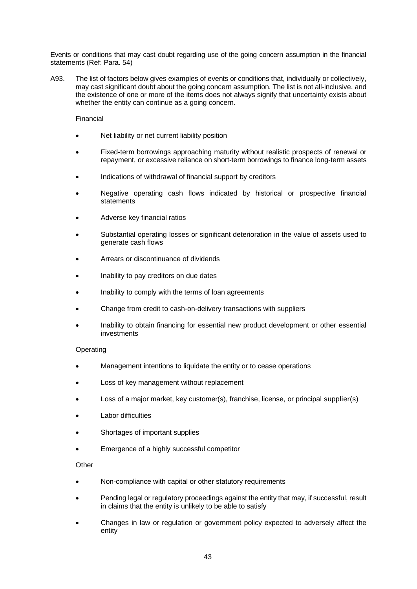Events or conditions that may cast doubt regarding use of the going concern assumption in the financial statements (Ref: Para. 54)

A93. The list of factors below gives examples of events or conditions that, individually or collectively, may cast significant doubt about the going concern assumption. The list is not all-inclusive, and the existence of one or more of the items does not always signify that uncertainty exists about whether the entity can continue as a going concern.

Financial

- Net liability or net current liability position
- Fixed-term borrowings approaching maturity without realistic prospects of renewal or repayment, or excessive reliance on short-term borrowings to finance long-term assets
- Indications of withdrawal of financial support by creditors
- Negative operating cash flows indicated by historical or prospective financial statements
- Adverse key financial ratios
- Substantial operating losses or significant deterioration in the value of assets used to generate cash flows
- Arrears or discontinuance of dividends
- Inability to pay creditors on due dates
- Inability to comply with the terms of loan agreements
- Change from credit to cash-on-delivery transactions with suppliers
- Inability to obtain financing for essential new product development or other essential investments

#### Operating

- Management intentions to liquidate the entity or to cease operations
- Loss of key management without replacement
- Loss of a major market, key customer(s), franchise, license, or principal supplier(s)
- Labor difficulties
- Shortages of important supplies
- Emergence of a highly successful competitor

#### **Other**

- Non-compliance with capital or other statutory requirements
- Pending legal or regulatory proceedings against the entity that may, if successful, result in claims that the entity is unlikely to be able to satisfy
- Changes in law or regulation or government policy expected to adversely affect the entity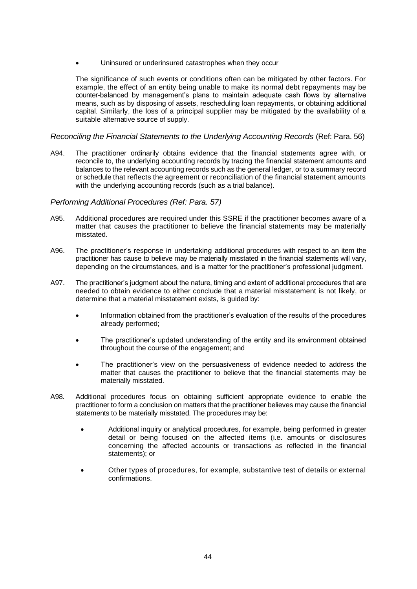• Uninsured or underinsured catastrophes when they occur

The significance of such events or conditions often can be mitigated by other factors. For example, the effect of an entity being unable to make its normal debt repayments may be counter-balanced by management's plans to maintain adequate cash flows by alternative means, such as by disposing of assets, rescheduling loan repayments, or obtaining additional capital. Similarly, the loss of a principal supplier may be mitigated by the availability of a suitable alternative source of supply.

#### *Reconciling the Financial Statements to the Underlying Accounting Records* (Ref: Para. 56)

A94. The practitioner ordinarily obtains evidence that the financial statements agree with, or reconcile to, the underlying accounting records by tracing the financial statement amounts and balances to the relevant accounting records such as the general ledger, or to a summary record or schedule that reflects the agreement or reconciliation of the financial statement amounts with the underlying accounting records (such as a trial balance).

#### *Performing Additional Procedures (Ref: Para. 57)*

- A95. Additional procedures are required under this SSRE if the practitioner becomes aware of a matter that causes the practitioner to believe the financial statements may be materially misstated.
- A96. The practitioner's response in undertaking additional procedures with respect to an item the practitioner has cause to believe may be materially misstated in the financial statements will vary, depending on the circumstances, and is a matter for the practitioner's professional judgment.
- A97. The practitioner's judgment about the nature, timing and extent of additional procedures that are needed to obtain evidence to either conclude that a material misstatement is not likely, or determine that a material misstatement exists, is guided by:
	- Information obtained from the practitioner's evaluation of the results of the procedures already performed;
	- The practitioner's updated understanding of the entity and its environment obtained throughout the course of the engagement; and
	- The practitioner's view on the persuasiveness of evidence needed to address the matter that causes the practitioner to believe that the financial statements may be materially misstated.
- A98. Additional procedures focus on obtaining sufficient appropriate evidence to enable the practitioner to form a conclusion on matters that the practitioner believes may cause the financial statements to be materially misstated. The procedures may be:
	- Additional inquiry or analytical procedures, for example, being performed in greater detail or being focused on the affected items (i.e. amounts or disclosures concerning the affected accounts or transactions as reflected in the financial statements); or
	- Other types of procedures, for example, substantive test of details or external confirmations.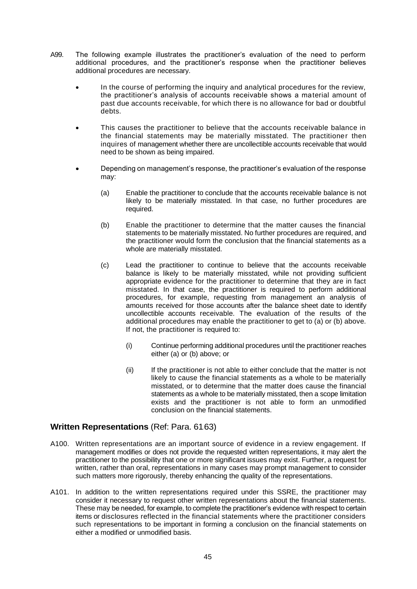- A99. The following example illustrates the practitioner's evaluation of the need to perform additional procedures, and the practitioner's response when the practitioner believes additional procedures are necessary.
	- In the course of performing the inquiry and analytical procedures for the review, the practitioner's analysis of accounts receivable shows a material amount of past due accounts receivable, for which there is no allowance for bad or doubtful debts.
	- This causes the practitioner to believe that the accounts receivable balance in the financial statements may be materially misstated. The practitioner then inquires of management whether there are uncollectible accounts receivable that would need to be shown as being impaired.
	- Depending on management's response, the practitioner's evaluation of the response may:
		- (a) Enable the practitioner to conclude that the accounts receivable balance is not likely to be materially misstated. In that case, no further procedures are required.
		- (b) Enable the practitioner to determine that the matter causes the financial statements to be materially misstated. No further procedures are required, and the practitioner would form the conclusion that the financial statements as a whole are materially misstated.
		- (c) Lead the practitioner to continue to believe that the accounts receivable balance is likely to be materially misstated, while not providing sufficient appropriate evidence for the practitioner to determine that they are in fact misstated. In that case, the practitioner is required to perform additional procedures, for example, requesting from management an analysis of amounts received for those accounts after the balance sheet date to identify uncollectible accounts receivable. The evaluation of the results of the additional procedures may enable the practitioner to get to (a) or (b) above. If not, the practitioner is required to:
			- (i) Continue performing additional procedures until the practitioner reaches either (a) or (b) above; or
			- (ii) If the practitioner is not able to either conclude that the matter is not likely to cause the financial statements as a whole to be materially misstated, or to determine that the matter does cause the financial statements as a whole to be materially misstated, then a scope limitation exists and the practitioner is not able to form an unmodified conclusion on the financial statements.

## **Written Representations** (Ref: Para. 61–63)

- A100. Written representations are an important source of evidence in a review engagement. If management modifies or does not provide the requested written representations, it may alert the practitioner to the possibility that one or more significant issues may exist. Further, a request for written, rather than oral, representations in many cases may prompt management to consider such matters more rigorously, thereby enhancing the quality of the representations.
- A101. In addition to the written representations required under this SSRE, the practitioner may consider it necessary to request other written representations about the financial statements. These may be needed, for example, to complete the practitioner's evidence with respect to certain items or disclosures reflected in the financial statements where the practitioner considers such representations to be important in forming a conclusion on the financial statements on either a modified or unmodified basis.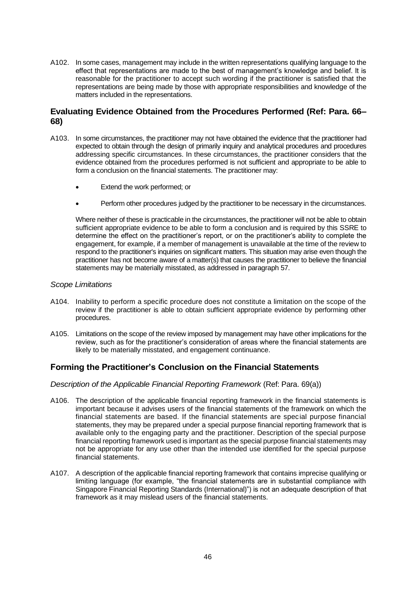A102. In some cases, management may include in the written representations qualifying language to the effect that representations are made to the best of management's knowledge and belief. It is reasonable for the practitioner to accept such wording if the practitioner is satisfied that the representations are being made by those with appropriate responsibilities and knowledge of the matters included in the representations.

## **Evaluating Evidence Obtained from the Procedures Performed (Ref: Para. 66– 68)**

- A103. In some circumstances, the practitioner may not have obtained the evidence that the practitioner had expected to obtain through the design of primarily inquiry and analytical procedures and procedures addressing specific circumstances. In these circumstances, the practitioner considers that the evidence obtained from the procedures performed is not sufficient and appropriate to be able to form a conclusion on the financial statements. The practitioner may:
	- Extend the work performed; or
	- Perform other procedures judged by the practitioner to be necessary in the circumstances.

Where neither of these is practicable in the circumstances, the practitioner will not be able to obtain sufficient appropriate evidence to be able to form a conclusion and is required by this SSRE to determine the effect on the practitioner's report, or on the practitioner's ability to complete the engagement, for example, if a member of management is unavailable at the time of the review to respond to the practitioner's inquiries on significant matters. This situation may arise even though the practitioner has not become aware of a matter(s) that causes the practitioner to believe the financial statements may be materially misstated, as addressed in paragraph 57.

#### *Scope Limitations*

- A104. Inability to perform a specific procedure does not constitute a limitation on the scope of the review if the practitioner is able to obtain sufficient appropriate evidence by performing other procedures.
- A105. Limitations on the scope of the review imposed by management may have other implications for the review, such as for the practitioner's consideration of areas where the financial statements are likely to be materially misstated, and engagement continuance.

## **Forming the Practitioner's Conclusion on the Financial Statements**

*Description of the Applicable Financial Reporting Framework* (Ref: Para. 69(a))

- A106. The description of the applicable financial reporting framework in the financial statements is important because it advises users of the financial statements of the framework on which the financial statements are based. If the financial statements are special purpose financial statements, they may be prepared under a special purpose financial reporting framework that is available only to the engaging party and the practitioner. Description of the special purpose financial reporting framework used is important as the special purpose financial statements may not be appropriate for any use other than the intended use identified for the special purpose financial statements.
- A107. A description of the applicable financial reporting framework that contains imprecise qualifying or limiting language (for example, "the financial statements are in substantial compliance with Singapore Financial Reporting Standards (International)") is not an adequate description of that framework as it may mislead users of the financial statements.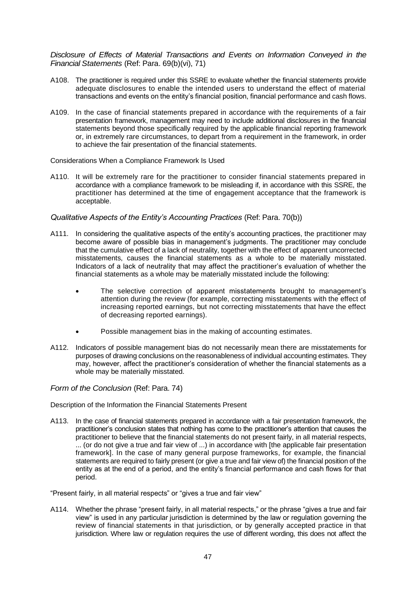*Disclosure of Effects of Material Transactions and Events on Information Conveyed in the Financial Statements* (Ref: Para. 69(b)(vi), 71)

- A108. The practitioner is required under this SSRE to evaluate whether the financial statements provide adequate disclosures to enable the intended users to understand the effect of material transactions and events on the entity's financial position, financial performance and cash flows.
- A109. In the case of financial statements prepared in accordance with the requirements of a fair presentation framework, management may need to include additional disclosures in the financial statements beyond those specifically required by the applicable financial reporting framework or, in extremely rare circumstances, to depart from a requirement in the framework, in order to achieve the fair presentation of the financial statements.

#### Considerations When a Compliance Framework Is Used

A110. It will be extremely rare for the practitioner to consider financial statements prepared in accordance with a compliance framework to be misleading if, in accordance with this SSRE, the practitioner has determined at the time of engagement acceptance that the framework is acceptable.

#### *Qualitative Aspects of the Entity's Accounting Practices* (Ref: Para. 70(b))

- A111. In considering the qualitative aspects of the entity's accounting practices, the practitioner may become aware of possible bias in management's judgments. The practitioner may conclude that the cumulative effect of a lack of neutrality, together with the effect of apparent uncorrected misstatements, causes the financial statements as a whole to be materially misstated. Indicators of a lack of neutrality that may affect the practitioner's evaluation of whether the financial statements as a whole may be materially misstated include the following:
	- The selective correction of apparent misstatements brought to management's attention during the review (for example, correcting misstatements with the effect of increasing reported earnings, but not correcting misstatements that have the effect of decreasing reported earnings).
	- Possible management bias in the making of accounting estimates.
- A112. Indicators of possible management bias do not necessarily mean there are misstatements for purposes of drawing conclusions on the reasonableness of individual accounting estimates. They may, however, affect the practitioner's consideration of whether the financial statements as a whole may be materially misstated.

#### *Form of the Conclusion (Ref: Para. 74)*

#### Description of the Information the Financial Statements Present

A113. In the case of financial statements prepared in accordance with a fair presentation framework, the practitioner's conclusion states that nothing has come to the practitioner's attention that causes the practitioner to believe that the financial statements do not present fairly, in all material respects, ... (or do not give a true and fair view of ...) in accordance with [the applicable fair presentation framework]. In the case of many general purpose frameworks, for example, the financial statements are required to fairly present (or give a true and fair view of) the financial position of the entity as at the end of a period, and the entity's financial performance and cash flows for that period.

"Present fairly, in all material respects" or "gives a true and fair view"

A114. Whether the phrase "present fairly, in all material respects," or the phrase "gives a true and fair view" is used in any particular jurisdiction is determined by the law or regulation governing the review of financial statements in that jurisdiction, or by generally accepted practice in that jurisdiction. Where law or regulation requires the use of different wording, this does not affect the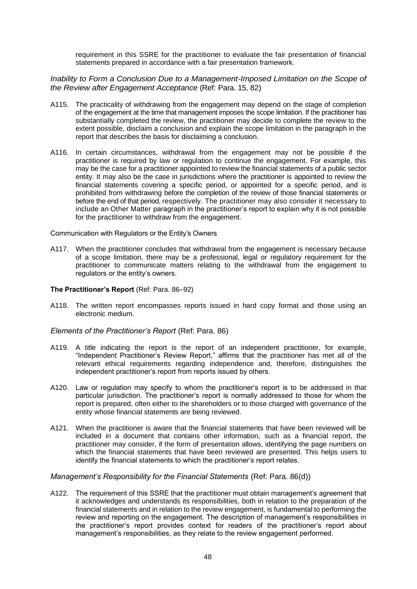requirement in this SSRE for the practitioner to evaluate the fair presentation of financial statements prepared in accordance with a fair presentation framework.

*Inability to Form a Conclusion Due to a Management-Imposed Limitation on the Scope of the Review after Engagement Acceptance* (Ref: Para. 15, 82)

- A115. The practicality of withdrawing from the engagement may depend on the stage of completion of the engagement at the time that management imposes the scope limitation. If the practitioner has substantially completed the review, the practitioner may decide to complete the review to the extent possible, disclaim a conclusion and explain the scope limitation in the paragraph in the report that describes the basis for disclaiming a conclusion.
- A116. In certain circumstances, withdrawal from the engagement may not be possible if the practitioner is required by law or regulation to continue the engagement. For example, this may be the case for a practitioner appointed to review the financial statements of a public sector entity. It may also be the case in jurisdictions where the practitioner is appointed to review the financial statements covering a specific period, or appointed for a specific period, and is prohibited from withdrawing before the completion of the review of those financial statements or before the end of that period, respectively. The practitioner may also consider it necessary to include an Other Matter paragraph in the practitioner's report to explain why it is not possible for the practitioner to withdraw from the engagement.

Communication with Regulators or the Entity's Owners

A117. When the practitioner concludes that withdrawal from the engagement is necessary because of a scope limitation, there may be a professional, legal or regulatory requirement for the practitioner to communicate matters relating to the withdrawal from the engagement to regulators or the entity's owners.

#### **The Practitioner's Report** (Ref: Para. 86–92)

A118. The written report encompasses reports issued in hard copy format and those using an electronic medium.

#### *Elements of the Practitioner's Report* (Ref: Para. 86)

- A119. A title indicating the report is the report of an independent practitioner, for example, "Independent Practitioner's Review Report," affirms that the practitioner has met all of the relevant ethical requirements regarding independence and, therefore, distinguishes the independent practitioner's report from reports issued by others.
- A120. Law or regulation may specify to whom the practitioner's report is to be addressed in that particular jurisdiction. The practitioner's report is normally addressed to those for whom the report is prepared, often either to the shareholders or to those charged with governance of the entity whose financial statements are being reviewed.
- A121. When the practitioner is aware that the financial statements that have been reviewed will be included in a document that contains other information, such as a financial report, the practitioner may consider, if the form of presentation allows, identifying the page numbers on which the financial statements that have been reviewed are presented. This helps users to identify the financial statements to which the practitioner's report relates.

#### *Management's Responsibility for the Financial Statements* (Ref: Para. 86(d))

A122. The requirement of this SSRE that the practitioner must obtain management's agreement that it acknowledges and understands its responsibilities, both in relation to the preparation of the financial statements and in relation to the review engagement, is fundamental to performing the review and reporting on the engagement. The description of management's responsibilities in the practitioner's report provides context for readers of the practitioner's report about management's responsibilities, as they relate to the review engagement performed.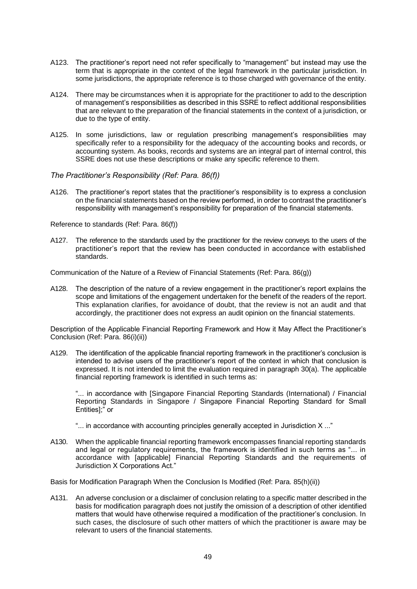- A123. The practitioner's report need not refer specifically to "management" but instead may use the term that is appropriate in the context of the legal framework in the particular jurisdiction. In some jurisdictions, the appropriate reference is to those charged with governance of the entity.
- A124. There may be circumstances when it is appropriate for the practitioner to add to the description of management's responsibilities as described in this SSRE to reflect additional responsibilities that are relevant to the preparation of the financial statements in the context of a jurisdiction, or due to the type of entity.
- A125. In some jurisdictions, law or regulation prescribing management's responsibilities may specifically refer to a responsibility for the adequacy of the accounting books and records, or accounting system. As books, records and systems are an integral part of internal control, this SSRE does not use these descriptions or make any specific reference to them.

*The Practitioner's Responsibility (Ref: Para. 86(f))* 

A126. The practitioner's report states that the practitioner's responsibility is to express a conclusion on the financial statements based on the review performed, in order to contrast the practitioner's responsibility with management's responsibility for preparation of the financial statements.

Reference to standards (Ref: Para. 86(f))

A127. The reference to the standards used by the practitioner for the review conveys to the users of the practitioner's report that the review has been conducted in accordance with established standards.

Communication of the Nature of a Review of Financial Statements (Ref: Para. 86(g))

A128. The description of the nature of a review engagement in the practitioner's report explains the scope and limitations of the engagement undertaken for the benefit of the readers of the report. This explanation clarifies, for avoidance of doubt, that the review is not an audit and that accordingly, the practitioner does not express an audit opinion on the financial statements.

Description of the Applicable Financial Reporting Framework and How it May Affect the Practitioner's Conclusion (Ref: Para. 86(i)(ii))

A129. The identification of the applicable financial reporting framework in the practitioner's conclusion is intended to advise users of the practitioner's report of the context in which that conclusion is expressed. It is not intended to limit the evaluation required in paragraph 30(a). The applicable financial reporting framework is identified in such terms as:

"... in accordance with [Singapore Financial Reporting Standards (International) / Financial Reporting Standards in Singapore / Singapore Financial Reporting Standard for Small Entities];" or

- "... in accordance with accounting principles generally accepted in Jurisdiction X ..."
- A130. When the applicable financial reporting framework encompasses financial reporting standards and legal or regulatory requirements, the framework is identified in such terms as "... in accordance with [applicable] Financial Reporting Standards and the requirements of Jurisdiction X Corporations Act."

Basis for Modification Paragraph When the Conclusion Is Modified (Ref: Para. 85(h)(ii))

A131. An adverse conclusion or a disclaimer of conclusion relating to a specific matter described in the basis for modification paragraph does not justify the omission of a description of other identified matters that would have otherwise required a modification of the practitioner's conclusion. In such cases, the disclosure of such other matters of which the practitioner is aware may be relevant to users of the financial statements.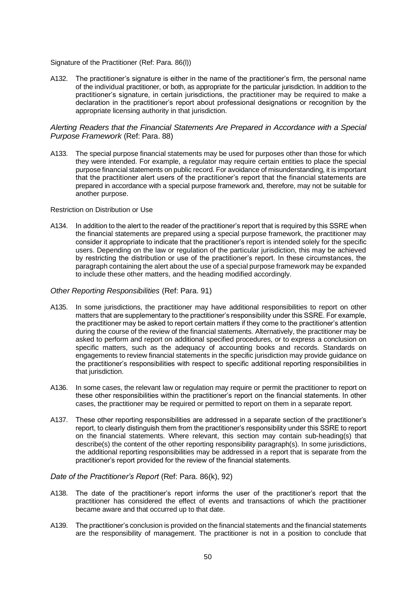Signature of the Practitioner (Ref: Para. 86(l))

A132. The practitioner's signature is either in the name of the practitioner's firm, the personal name of the individual practitioner, or both, as appropriate for the particular jurisdiction. In addition to the practitioner's signature, in certain jurisdictions, the practitioner may be required to make a declaration in the practitioner's report about professional designations or recognition by the appropriate licensing authority in that jurisdiction.

#### *Alerting Readers that the Financial Statements Are Prepared in Accordance with a Special Purpose Framework* (Ref: Para. 88)

A133. The special purpose financial statements may be used for purposes other than those for which they were intended. For example, a regulator may require certain entities to place the special purpose financial statements on public record. For avoidance of misunderstanding, it is important that the practitioner alert users of the practitioner's report that the financial statements are prepared in accordance with a special purpose framework and, therefore, may not be suitable for another purpose.

#### Restriction on Distribution or Use

A134. In addition to the alert to the reader of the practitioner's report that is required by this SSRE when the financial statements are prepared using a special purpose framework, the practitioner may consider it appropriate to indicate that the practitioner's report is intended solely for the specific users. Depending on the law or regulation of the particular jurisdiction, this may be achieved by restricting the distribution or use of the practitioner's report. In these circumstances, the paragraph containing the alert about the use of a special purpose framework may be expanded to include these other matters, and the heading modified accordingly.

#### *Other Reporting Responsibilities* (Ref: Para. 91)

- A135. In some jurisdictions, the practitioner may have additional responsibilities to report on other matters that are supplementary to the practitioner's responsibility under this SSRE. For example, the practitioner may be asked to report certain matters if they come to the practitioner's attention during the course of the review of the financial statements. Alternatively, the practitioner may be asked to perform and report on additional specified procedures, or to express a conclusion on specific matters, such as the adequacy of accounting books and records. Standards on engagements to review financial statements in the specific jurisdiction may provide guidance on the practitioner's responsibilities with respect to specific additional reporting responsibilities in that jurisdiction.
- A136. In some cases, the relevant law or regulation may require or permit the practitioner to report on these other responsibilities within the practitioner's report on the financial statements. In other cases, the practitioner may be required or permitted to report on them in a separate report.
- A137. These other reporting responsibilities are addressed in a separate section of the practitioner's report, to clearly distinguish them from the practitioner's responsibility under this SSRE to report on the financial statements. Where relevant, this section may contain sub-heading(s) that describe(s) the content of the other reporting responsibility paragraph(s). In some jurisdictions, the additional reporting responsibilities may be addressed in a report that is separate from the practitioner's report provided for the review of the financial statements.

#### *Date of the Practitioner's Report* (Ref: Para. 86(k), 92)

- A138. The date of the practitioner's report informs the user of the practitioner's report that the practitioner has considered the effect of events and transactions of which the practitioner became aware and that occurred up to that date.
- A139. The practitioner's conclusion is provided on the financial statements and the financial statements are the responsibility of management. The practitioner is not in a position to conclude that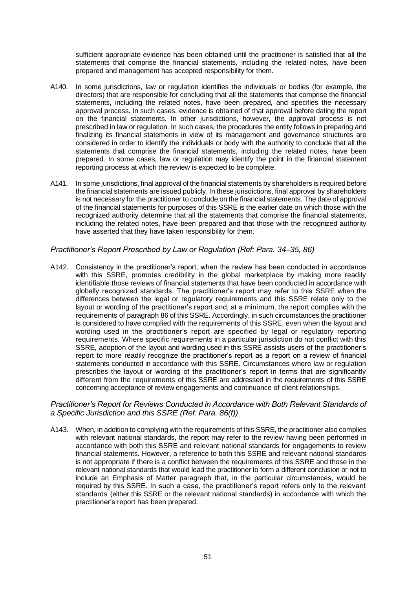sufficient appropriate evidence has been obtained until the practitioner is satisfied that all the statements that comprise the financial statements, including the related notes, have been prepared and management has accepted responsibility for them.

- A140. In some jurisdictions, law or regulation identifies the individuals or bodies (for example, the directors) that are responsible for concluding that all the statements that comprise the financial statements, including the related notes, have been prepared, and specifies the necessary approval process. In such cases, evidence is obtained of that approval before dating the report on the financial statements. In other jurisdictions, however, the approval process is not prescribed in law or regulation. In such cases, the procedures the entity follows in preparing and finalizing its financial statements in view of its management and governance structures are considered in order to identify the individuals or body with the authority to conclude that all the statements that comprise the financial statements, including the related notes, have been prepared. In some cases, law or regulation may identify the point in the financial statement reporting process at which the review is expected to be complete.
- A141. In some jurisdictions, final approval of the financial statements by shareholders is required before the financial statements are issued publicly. In these jurisdictions, final approval by shareholders is not necessary for the practitioner to conclude on the financial statements. The date of approval of the financial statements for purposes of this SSRE is the earlier date on which those with the recognized authority determine that all the statements that comprise the financial statements, including the related notes, have been prepared and that those with the recognized authority have asserted that they have taken responsibility for them.

#### *Practitioner's Report Prescribed by Law or Regulation (Ref: Para. 34–35, 86)*

A142. Consistency in the practitioner's report, when the review has been conducted in accordance with this SSRE, promotes credibility in the global marketplace by making more readily identifiable those reviews of financial statements that have been conducted in accordance with globally recognized standards. The practitioner's report may refer to this SSRE when the differences between the legal or regulatory requirements and this SSRE relate only to the layout or wording of the practitioner's report and, at a minimum, the report complies with the requirements of paragraph 86 of this SSRE. Accordingly, in such circumstances the practitioner is considered to have complied with the requirements of this SSRE, even when the layout and wording used in the practitioner's report are specified by legal or regulatory reporting requirements. Where specific requirements in a particular jurisdiction do not conflict with this SSRE, adoption of the layout and wording used in this SSRE assists users of the practitioner's report to more readily recognize the practitioner's report as a report on a review of financial statements conducted in accordance with this SSRE. Circumstances where law or regulation prescribes the layout or wording of the practitioner's report in terms that are significantly different from the requirements of this SSRE are addressed in the requirements of this SSRE concerning acceptance of review engagements and continuance of client relationships.

#### *Practitioner's Report for Reviews Conducted in Accordance with Both Relevant Standards of a Specific Jurisdiction and this SSRE (Ref: Para. 86(f))*

A143. When, in addition to complying with the requirements of this SSRE, the practitioner also complies with relevant national standards, the report may refer to the review having been performed in accordance with both this SSRE and relevant national standards for engagements to review financial statements. However, a reference to both this SSRE and relevant national standards is not appropriate if there is a conflict between the requirements of this SSRE and those in the relevant national standards that would lead the practitioner to form a different conclusion or not to include an Emphasis of Matter paragraph that, in the particular circumstances, would be required by this SSRE. In such a case, the practitioner's report refers only to the relevant standards (either this SSRE or the relevant national standards) in accordance with which the practitioner's report has been prepared.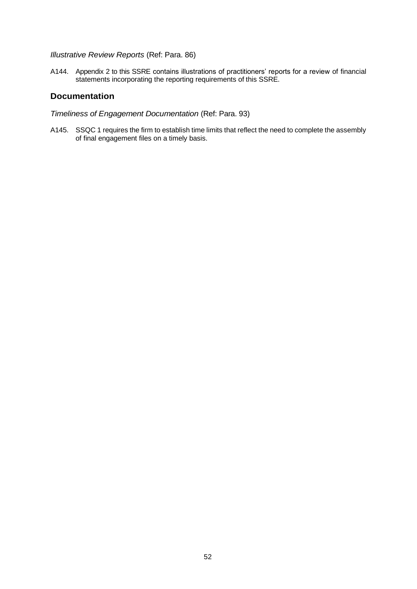*Illustrative Review Reports* (Ref: Para. 86)

A144. Appendix 2 to this SSRE contains illustrations of practitioners' reports for a review of financial statements incorporating the reporting requirements of this SSRE.

## **Documentation**

*Timeliness of Engagement Documentation* (Ref: Para. 93)

A145. SSQC 1 requires the firm to establish time limits that reflect the need to complete the assembly of final engagement files on a timely basis.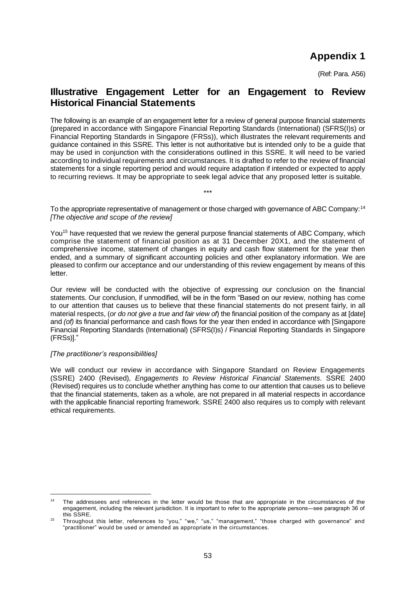## **Appendix 1**

(Ref: Para. A56)

## **Illustrative Engagement Letter for an Engagement to Review Historical Financial Statements**

The following is an example of an engagement letter for a review of general purpose financial statements (prepared in accordance with Singapore Financial Reporting Standards (International) (SFRS(I)s) or Financial Reporting Standards in Singapore (FRSs)), which illustrates the relevant requirements and guidance contained in this SSRE. This letter is not authoritative but is intended only to be a guide that may be used in conjunction with the considerations outlined in this SSRE. It will need to be varied according to individual requirements and circumstances. It is drafted to refer to the review of financial statements for a single reporting period and would require adaptation if intended or expected to apply to recurring reviews. It may be appropriate to seek legal advice that any proposed letter is suitable.

To the appropriate representative of management or those charged with governance of ABC Company:<sup>14</sup> *[The objective and scope of the review]*

\*\*\*

You<sup>15</sup> have requested that we review the general purpose financial statements of ABC Company, which comprise the statement of financial position as at 31 December 20X1, and the statement of comprehensive income, statement of changes in equity and cash flow statement for the year then ended, and a summary of significant accounting policies and other explanatory information. We are pleased to confirm our acceptance and our understanding of this review engagement by means of this letter.

Our review will be conducted with the objective of expressing our conclusion on the financial statements. Our conclusion, if unmodified, will be in the form "Based on our review, nothing has come to our attention that causes us to believe that these financial statements do not present fairly, in all material respects, (*or do not give a true and fair view of*) the financial position of the company as at [date] and *(of)* its financial performance and cash flows for the year then ended in accordance with [Singapore Financial Reporting Standards (International) (SFRS(I)s) / Financial Reporting Standards in Singapore (FRSs)]."

#### *[The practitioner's responsibilities]*

We will conduct our review in accordance with Singapore Standard on Review Engagements (SSRE) 2400 (Revised), *Engagements to Review Historical Financial Statements*. SSRE 2400 (Revised) requires us to conclude whether anything has come to our attention that causes us to believe that the financial statements, taken as a whole, are not prepared in all material respects in accordance with the applicable financial reporting framework. SSRE 2400 also requires us to comply with relevant ethical requirements.

<sup>&</sup>lt;sup>14</sup> The addressees and references in the letter would be those that are appropriate in the circumstances of the engagement, including the relevant jurisdiction. It is important to refer to the appropriate persons―see paragraph 36 of this SSRE.

<sup>15</sup> Throughout this letter, references to "you," "we," "us," "management," "those charged with governance" and "practitioner" would be used or amended as appropriate in the circumstances.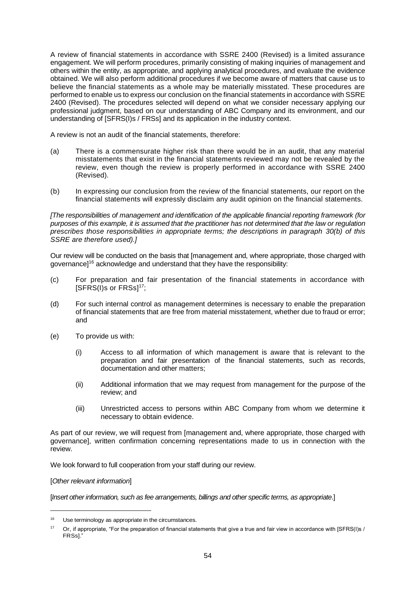A review of financial statements in accordance with SSRE 2400 (Revised) is a limited assurance engagement. We will perform procedures, primarily consisting of making inquiries of management and others within the entity, as appropriate, and applying analytical procedures, and evaluate the evidence obtained. We will also perform additional procedures if we become aware of matters that cause us to believe the financial statements as a whole may be materially misstated. These procedures are performed to enable us to express our conclusion on the financial statements in accordance with SSRE 2400 (Revised). The procedures selected will depend on what we consider necessary applying our professional judgment, based on our understanding of ABC Company and its environment, and our understanding of [SFRS(I)s / FRSs] and its application in the industry context.

A review is not an audit of the financial statements, therefore:

- (a) There is a commensurate higher risk than there would be in an audit, that any material misstatements that exist in the financial statements reviewed may not be revealed by the review, even though the review is properly performed in accordance with SSRE 2400 (Revised).
- (b) In expressing our conclusion from the review of the financial statements, our report on the financial statements will expressly disclaim any audit opinion on the financial statements.

*[The responsibilities of management and identification of the applicable financial reporting framework (for purposes of this example, it is assumed that the practitioner has not determined that the law or regulation prescribes those responsibilities in appropriate terms; the descriptions in paragraph 30(b) of this SSRE are therefore used).]*

Our review will be conducted on the basis that [management and, where appropriate, those charged with governance]<sup>16</sup> acknowledge and understand that they have the responsibility:

- (c) For preparation and fair presentation of the financial statements in accordance with [SFRS(I)s or FRSs] 17;
- (d) For such internal control as management determines is necessary to enable the preparation of financial statements that are free from material misstatement, whether due to fraud or error; and
- (e) To provide us with:
	- (i) Access to all information of which management is aware that is relevant to the preparation and fair presentation of the financial statements, such as records, documentation and other matters;
	- (ii) Additional information that we may request from management for the purpose of the review; and
	- (iii) Unrestricted access to persons within ABC Company from whom we determine it necessary to obtain evidence.

As part of our review, we will request from [management and, where appropriate, those charged with governance], written confirmation concerning representations made to us in connection with the review.

We look forward to full cooperation from your staff during our review.

[*Other relevant information*]

[*Insert other information, such as fee arrangements, billings and other specific terms, as appropriate*.]

<sup>&</sup>lt;sup>16</sup> Use terminology as appropriate in the circumstances.

<sup>17</sup> Or, if appropriate, "For the preparation of financial statements that give a true and fair view in accordance with [SFRS(I)s / FRSs]."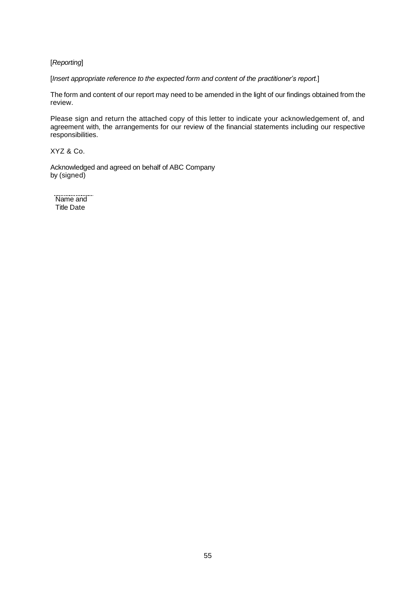#### [*Reporting*]

[*Insert appropriate reference to the expected form and content of the practitioner's report.*]

The form and content of our report may need to be amended in the light of our findings obtained from the review.

Please sign and return the attached copy of this letter to indicate your acknowledgement of, and agreement with, the arrangements for our review of the financial statements including our respective responsibilities.

XYZ & Co.

Acknowledged and agreed on behalf of ABC Company by (signed)

Name and Title Date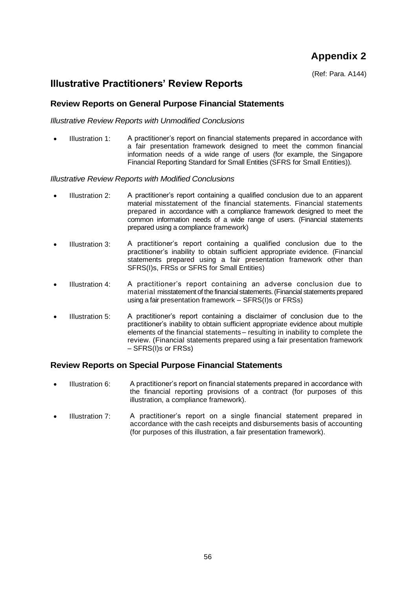## **Appendix 2**

(Ref: Para. A144)

## **Illustrative Practitioners' Review Reports**

## **Review Reports on General Purpose Financial Statements**

#### *Illustrative Review Reports with Unmodified Conclusions*

• Illustration 1: A practitioner's report on financial statements prepared in accordance with a fair presentation framework designed to meet the common financial information needs of a wide range of users (for example, the Singapore Financial Reporting Standard for Small Entities (SFRS for Small Entities)).

#### *Illustrative Review Reports with Modified Conclusions*

- Illustration 2: A practitioner's report containing a qualified conclusion due to an apparent material misstatement of the financial statements. Financial statements prepared in accordance with a compliance framework designed to meet the common information needs of a wide range of users. (Financial statements prepared using a compliance framework)
- Illustration 3: A practitioner's report containing a qualified conclusion due to the practitioner's inability to obtain sufficient appropriate evidence. (Financial statements prepared using a fair presentation framework other than SFRS(I)s, FRSs or SFRS for Small Entities)
- Illustration 4: A practitioner's report containing an adverse conclusion due to material misstatement of the financial statements. (Financial statements prepared using a fair presentation framework – SFRS(I)s or FRSs)
- Illustration 5: A practitioner's report containing a disclaimer of conclusion due to the practitioner's inability to obtain sufficient appropriate evidence about multiple elements of the financial statements – resulting in inability to complete the review. (Financial statements prepared using a fair presentation framework – SFRS(I)s or FRSs)

## **Review Reports on Special Purpose Financial Statements**

- Illustration 6: A practitioner's report on financial statements prepared in accordance with the financial reporting provisions of a contract (for purposes of this illustration, a compliance framework).
- Illustration 7: A practitioner's report on a single financial statement prepared in accordance with the cash receipts and disbursements basis of accounting (for purposes of this illustration, a fair presentation framework).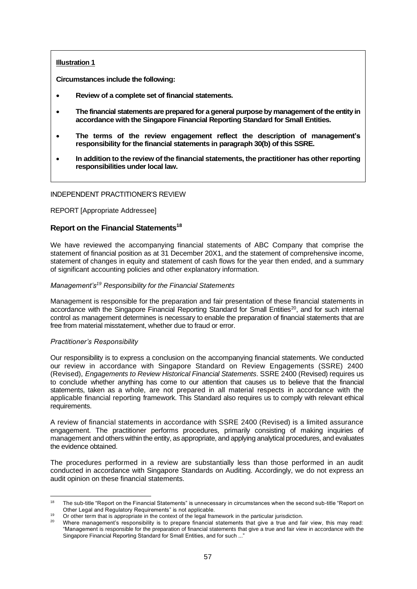#### **Illustration 1**

**Circumstances include the following:**

- **Review of a complete set of financial statements.**
- **The financial statements are prepared for a general purpose by management of the entity in accordance with the Singapore Financial Reporting Standard for Small Entities.**
- **The terms of the review engagement reflect the description of management's responsibility for the financial statements in paragraph 30(b) of this SSRE.**
- **In addition to the review of the financial statements, the practitioner has other reporting responsibilities under local law.**

#### INDEPENDENT PRACTITIONER'S REVIEW

#### REPORT [Appropriate Addressee]

#### **Report on the Financial Statements<sup>18</sup>**

We have reviewed the accompanying financial statements of ABC Company that comprise the statement of financial position as at 31 December 20X1, and the statement of comprehensive income, statement of changes in equity and statement of cash flows for the year then ended, and a summary of significant accounting policies and other explanatory information.

#### *Management's<sup>19</sup> Responsibility for the Financial Statements*

Management is responsible for the preparation and fair presentation of these financial statements in accordance with the Singapore Financial Reporting Standard for Small Entities<sup>20</sup>, and for such internal control as management determines is necessary to enable the preparation of financial statements that are free from material misstatement, whether due to fraud or error.

#### *Practitioner's Responsibility*

Our responsibility is to express a conclusion on the accompanying financial statements. We conducted our review in accordance with Singapore Standard on Review Engagements (SSRE) 2400 (Revised), *Engagements to Review Historical Financial Statements*. SSRE 2400 (Revised) requires us to conclude whether anything has come to our attention that causes us to believe that the financial statements, taken as a whole, are not prepared in all material respects in accordance with the applicable financial reporting framework. This Standard also requires us to comply with relevant ethical requirements.

A review of financial statements in accordance with SSRE 2400 (Revised) is a limited assurance engagement. The practitioner performs procedures, primarily consisting of making inquiries of management and others within the entity, as appropriate, and applying analytical procedures, and evaluates the evidence obtained.

The procedures performed in a review are substantially less than those performed in an audit conducted in accordance with Singapore Standards on Auditing. Accordingly, we do not express an audit opinion on these financial statements.

<sup>&</sup>lt;sup>18</sup> The sub-title "Report on the Financial Statements" is unnecessary in circumstances when the second sub-title "Report on Other Legal and Regulatory Requirements" is not applicable.

<sup>&</sup>lt;sup>19</sup> Or other term that is appropriate in the context of the legal framework in the particular jurisdiction.

Where management's responsibility is to prepare financial statements that give a true and fair view, this may read: "Management is responsible for the preparation of financial statements that give a true and fair view in accordance with the Singapore Financial Reporting Standard for Small Entities, and for such ..."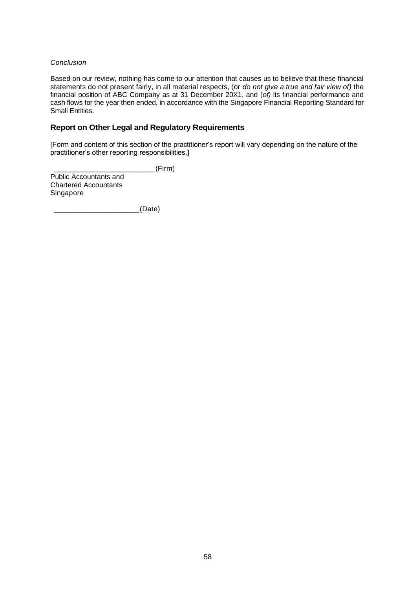#### *Conclusion*

Based on our review, nothing has come to our attention that causes us to believe that these financial statements do not present fairly, in all material respects, (or *do not give a true and fair view of)* the financial position of ABC Company as at 31 December 20X1, and (*of)* its financial performance and cash flows for the year then ended, in accordance with the Singapore Financial Reporting Standard for Small Entities.

### **Report on Other Legal and Regulatory Requirements**

[Form and content of this section of the practitioner's report will vary depending on the nature of the practitioner's other reporting responsibilities.]

 $(Firm)$ 

Public Accountants and Chartered Accountants Singapore

 $_$ (Date)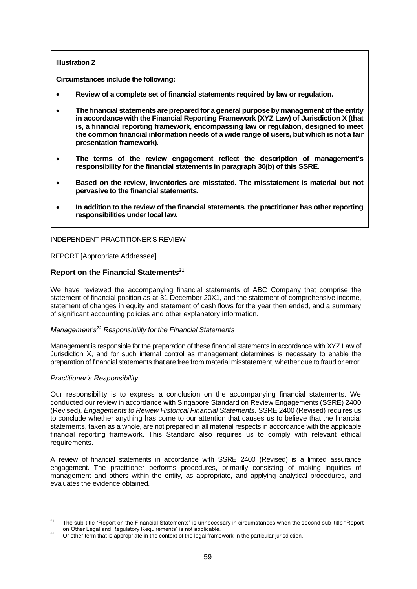#### **Illustration 2**

**Circumstances include the following:**

- **Review of a complete set of financial statements required by law or regulation.**
- **The financial statements are prepared for a general purpose by management of the entity in accordance with the Financial Reporting Framework (XYZ Law) of Jurisdiction X (that is, a financial reporting framework, encompassing law or regulation, designed to meet the common financial information needs of a wide range of users, but which is not a fair presentation framework).**
- **The terms of the review engagement reflect the description of management's responsibility for the financial statements in paragraph 30(b) of this SSRE.**
- **Based on the review, inventories are misstated. The misstatement is material but not pervasive to the financial statements.**
- **In addition to the review of the financial statements, the practitioner has other reporting responsibilities under local law.**

#### INDEPENDENT PRACTITIONER'S REVIEW

#### REPORT [Appropriate Addressee]

#### **Report on the Financial Statements<sup>21</sup>**

We have reviewed the accompanying financial statements of ABC Company that comprise the statement of financial position as at 31 December 20X1, and the statement of comprehensive income, statement of changes in equity and statement of cash flows for the year then ended, and a summary of significant accounting policies and other explanatory information.

#### *Management's<sup>22</sup> Responsibility for the Financial Statements*

Management is responsible for the preparation of these financial statements in accordance with XYZ Law of Jurisdiction X, and for such internal control as management determines is necessary to enable the preparation of financial statements that are free from material misstatement, whether due to fraud or error.

#### *Practitioner's Responsibility*

Our responsibility is to express a conclusion on the accompanying financial statements. We conducted our review in accordance with Singapore Standard on Review Engagements (SSRE) 2400 (Revised), *Engagements to Review Historical Financial Statements*. SSRE 2400 (Revised) requires us to conclude whether anything has come to our attention that causes us to believe that the financial statements, taken as a whole, are not prepared in all material respects in accordance with the applicable financial reporting framework. This Standard also requires us to comply with relevant ethical requirements.

A review of financial statements in accordance with SSRE 2400 (Revised) is a limited assurance engagement. The practitioner performs procedures, primarily consisting of making inquiries of management and others within the entity, as appropriate, and applying analytical procedures, and evaluates the evidence obtained.

<sup>&</sup>lt;sup>21</sup> The sub-title "Report on the Financial Statements" is unnecessary in circumstances when the second sub-title "Report on Other Legal and Regulatory Requirements" is not applicable.

<sup>22</sup> Or other term that is appropriate in the context of the legal framework in the particular jurisdiction.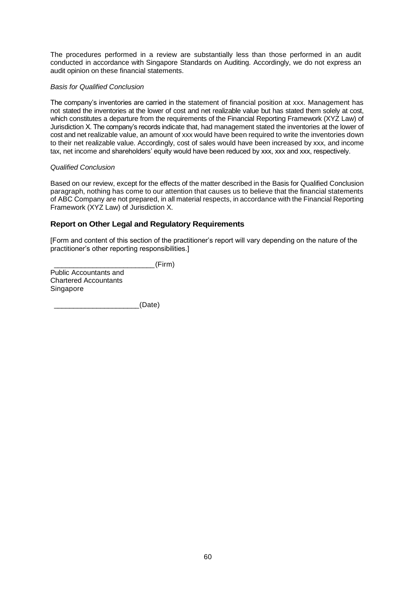The procedures performed in a review are substantially less than those performed in an audit conducted in accordance with Singapore Standards on Auditing. Accordingly, we do not express an audit opinion on these financial statements.

#### *Basis for Qualified Conclusion*

The company's inventories are carried in the statement of financial position at xxx. Management has not stated the inventories at the lower of cost and net realizable value but has stated them solely at cost, which constitutes a departure from the requirements of the Financial Reporting Framework (XYZ Law) of Jurisdiction X. The company's records indicate that, had management stated the inventories at the lower of cost and net realizable value, an amount of xxx would have been required to write the inventories down to their net realizable value. Accordingly, cost of sales would have been increased by xxx, and income tax, net income and shareholders' equity would have been reduced by xxx, xxx and xxx, respectively.

#### *Qualified Conclusion*

Based on our review, except for the effects of the matter described in the Basis for Qualified Conclusion paragraph, nothing has come to our attention that causes us to believe that the financial statements of ABC Company are not prepared, in all material respects, in accordance with the Financial Reporting Framework (XYZ Law) of Jurisdiction X.

#### **Report on Other Legal and Regulatory Requirements**

[Form and content of this section of the practitioner's report will vary depending on the nature of the practitioner's other reporting responsibilities.]

 $(Firm)$ Public Accountants and Chartered Accountants Singapore

\_\_\_\_\_\_\_\_\_\_\_\_\_\_\_\_\_\_\_\_\_\_(Date)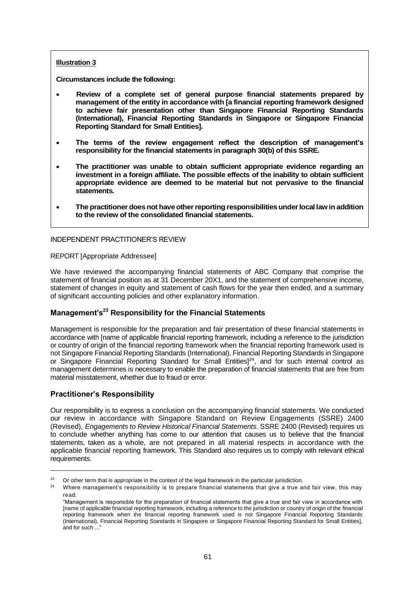#### **Illustration 3**

**Circumstances include the following:**

- .**Review of a complete set of general purpose financial statements prepared by management of the entity in accordance with [a financial reporting framework designed to achieve fair presentation other than Singapore Financial Reporting Standards (International), Financial Reporting Standards in Singapore or Singapore Financial Reporting Standard for Small Entities].**
- **The terms of the review engagement reflect the description of management's responsibility for the financial statements in paragraph 30(b) of this SSRE.**
- **The practitioner was unable to obtain sufficient appropriate evidence regarding an investment in a foreign affiliate. The possible effects of the inability to obtain sufficient appropriate evidence are deemed to be material but not pervasive to the financial statements.**
- **The practitioner does not have other reporting responsibilities under local law in addition to the review of the consolidated financial statements.**

#### INDEPENDENT PRACTITIONER'S REVIEW

#### REPORT [Appropriate Addressee]

We have reviewed the accompanying financial statements of ABC Company that comprise the statement of financial position as at 31 December 20X1, and the statement of comprehensive income, statement of changes in equity and statement of cash flows for the year then ended, and a summary of significant accounting policies and other explanatory information.

## **Management's<sup>23</sup> Responsibility for the Financial Statements**

Management is responsible for the preparation and fair presentation of these financial statements in accordance with [name of applicable financial reporting framework, including a reference to the jurisdiction or country of origin of the financial reporting framework when the financial reporting framework used is not Singapore Financial Reporting Standards (International), Financial Reporting Standards in Singapore or Singapore Financial Reporting Standard for Small Entities $]^{24}$ , and for such internal control as management determines is necessary to enable the preparation of financial statements that are free from material misstatement, whether due to fraud or error.

#### **Practitioner's Responsibility**

Our responsibility is to express a conclusion on the accompanying financial statements. We conducted our review in accordance with Singapore Standard on Review Engagements (SSRE) 2400 (Revised), *Engagements to Review Historical Financial Statements*. SSRE 2400 (Revised) requires us to conclude whether anything has come to our attention that causes us to believe that the financial statements, taken as a whole, are not prepared in all material respects in accordance with the applicable financial reporting framework. This Standard also requires us to comply with relevant ethical requirements.

<sup>&</sup>lt;sup>23</sup> Or other term that is appropriate in the context of the legal framework in the particular jurisdiction.<br><sup>24</sup> Miles a management's separability is to propora financial statements that give a true of

Where management's responsibility is to prepare financial statements that give a true and fair view, this may read:

<sup>&</sup>quot;Management is responsible for the preparation of financial statements that give a true and fair view in accordance with [name of applicable financial reporting framework, including a reference to the jurisdiction or country of origin of the financial reporting framework when the financial reporting framework used is not Singapore Financial Reporting Standards (International), Financial Reporting Standards in Singapore or Singapore Financial Reporting Standard for Small Entities], and for such ..."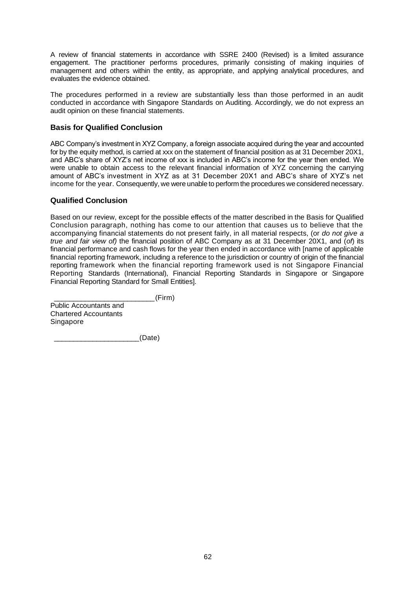A review of financial statements in accordance with SSRE 2400 (Revised) is a limited assurance engagement. The practitioner performs procedures, primarily consisting of making inquiries of management and others within the entity, as appropriate, and applying analytical procedures, and evaluates the evidence obtained.

The procedures performed in a review are substantially less than those performed in an audit conducted in accordance with Singapore Standards on Auditing. Accordingly, we do not express an audit opinion on these financial statements.

### **Basis for Qualified Conclusion**

ABC Company's investment in XYZ Company, a foreign associate acquired during the year and accounted for by the equity method, is carried at xxx on the statement of financial position as at 31 December 20X1, and ABC's share of XYZ's net income of xxx is included in ABC's income for the year then ended. We were unable to obtain access to the relevant financial information of XYZ concerning the carrying amount of ABC's investment in XYZ as at 31 December 20X1 and ABC's share of XYZ's net income for the year. Consequently, we were unable to perform the procedures we considered necessary.

#### **Qualified Conclusion**

Based on our review, except for the possible effects of the matter described in the Basis for Qualified Conclusion paragraph, nothing has come to our attention that causes us to believe that the accompanying financial statements do not present fairly, in all material respects, (or *do not give a true and fair view of)* the financial position of ABC Company as at 31 December 20X1, and (*of*) its financial performance and cash flows for the year then ended in accordance with [name of applicable financial reporting framework, including a reference to the jurisdiction or country of origin of the financial reporting framework when the financial reporting framework used is not Singapore Financial Reporting Standards (International), Financial Reporting Standards in Singapore or Singapore Financial Reporting Standard for Small Entities].

 $(Firm)$ 

Public Accountants and Chartered Accountants Singapore

\_\_\_\_\_\_\_\_\_\_\_\_\_\_\_\_\_\_\_\_\_\_(Date)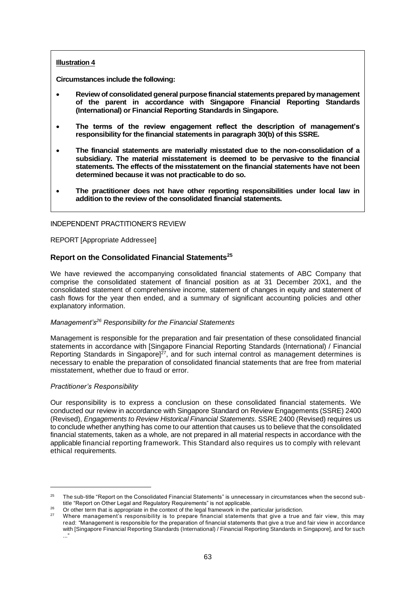#### **Illustration 4**

**Circumstances include the following:**

- **Review of consolidated general purpose financial statements prepared by management of the parent in accordance with Singapore Financial Reporting Standards (International) or Financial Reporting Standards in Singapore.**
- **The terms of the review engagement reflect the description of management's responsibility for the financial statements in paragraph 30(b) of this SSRE.**
- **The financial statements are materially misstated due to the non-consolidation of a subsidiary. The material misstatement is deemed to be pervasive to the financial statements. The effects of the misstatement on the financial statements have not been determined because it was not practicable to do so.**
- **The practitioner does not have other reporting responsibilities under local law in addition to the review of the consolidated financial statements.**

#### INDEPENDENT PRACTITIONER'S REVIEW

#### REPORT [Appropriate Addressee]

#### **Report on the Consolidated Financial Statements<sup>25</sup>**

We have reviewed the accompanying consolidated financial statements of ABC Company that comprise the consolidated statement of financial position as at 31 December 20X1, and the consolidated statement of comprehensive income, statement of changes in equity and statement of cash flows for the year then ended, and a summary of significant accounting policies and other explanatory information.

#### *Management's<sup>26</sup> Responsibility for the Financial Statements*

Management is responsible for the preparation and fair presentation of these consolidated financial statements in accordance with [Singapore Financial Reporting Standards (International) / Financial Reporting Standards in Singapore] $27$ , and for such internal control as management determines is necessary to enable the preparation of consolidated financial statements that are free from material misstatement, whether due to fraud or error.

#### *Practitioner's Responsibility*

Our responsibility is to express a conclusion on these consolidated financial statements. We conducted our review in accordance with Singapore Standard on Review Engagements (SSRE) 2400 (Revised), *Engagements to Review Historical Financial Statements*. SSRE 2400 (Revised) requires us to conclude whether anything has come to our attention that causes us to believe that the consolidated financial statements, taken as a whole, are not prepared in all material respects in accordance with the applicable financial reporting framework. This Standard also requires us to comply with relevant ethical requirements.

<sup>&</sup>lt;sup>25</sup> The sub-title "Report on the Consolidated Financial Statements" is unnecessary in circumstances when the second subtitle "Report on Other Legal and Regulatory Requirements" is not applicable.

<sup>&</sup>lt;sup>26</sup> Or other term that is appropriate in the context of the legal framework in the particular jurisdiction.

<sup>27</sup> Where management's responsibility is to prepare financial statements that give a true and fair view, this may read: "Management is responsible for the preparation of financial statements that give a true and fair view in accordance with [Singapore Financial Reporting Standards (International) / Financial Reporting Standards in Singapore], and for such ..."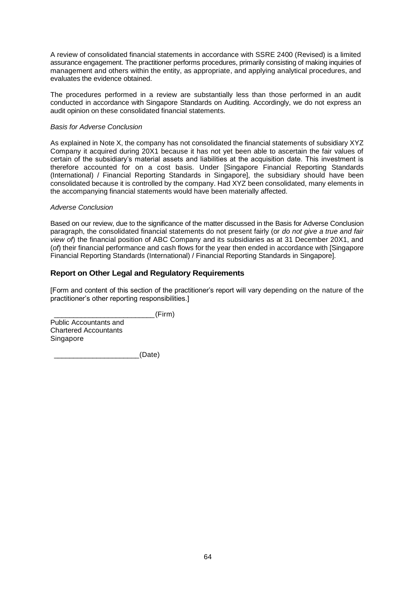A review of consolidated financial statements in accordance with SSRE 2400 (Revised) is a limited assurance engagement. The practitioner performs procedures, primarily consisting of making inquiries of management and others within the entity, as appropriate, and applying analytical procedures, and evaluates the evidence obtained.

The procedures performed in a review are substantially less than those performed in an audit conducted in accordance with Singapore Standards on Auditing. Accordingly, we do not express an audit opinion on these consolidated financial statements.

#### *Basis for Adverse Conclusion*

As explained in Note X, the company has not consolidated the financial statements of subsidiary XYZ Company it acquired during 20X1 because it has not yet been able to ascertain the fair values of certain of the subsidiary's material assets and liabilities at the acquisition date. This investment is therefore accounted for on a cost basis. Under [Singapore Financial Reporting Standards (International) / Financial Reporting Standards in Singapore], the subsidiary should have been consolidated because it is controlled by the company. Had XYZ been consolidated, many elements in the accompanying financial statements would have been materially affected.

#### *Adverse Conclusion*

Based on our review, due to the significance of the matter discussed in the Basis for Adverse Conclusion paragraph, the consolidated financial statements do not present fairly (or *do not give a true and fair view of*) the financial position of ABC Company and its subsidiaries as at 31 December 20X1, and (*of*) their financial performance and cash flows for the year then ended in accordance with [Singapore Financial Reporting Standards (International) / Financial Reporting Standards in Singapore].

#### **Report on Other Legal and Regulatory Requirements**

[Form and content of this section of the practitioner's report will vary depending on the nature of the practitioner's other reporting responsibilities.]

 $(Firm)$ 

Public Accountants and Chartered Accountants Singapore

\_\_\_\_\_\_\_\_\_\_\_\_\_\_\_\_\_\_\_\_\_\_(Date)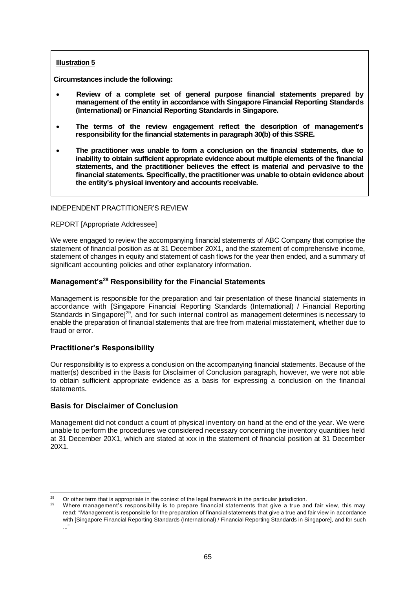#### **Illustration 5**

**Circumstances include the following:**

- .**Review of a complete set of general purpose financial statements prepared by management of the entity in accordance with Singapore Financial Reporting Standards (International) or Financial Reporting Standards in Singapore.**
- **The terms of the review engagement reflect the description of management's responsibility for the financial statements in paragraph 30(b) of this SSRE.**
- **The practitioner was unable to form a conclusion on the financial statements, due to inability to obtain sufficient appropriate evidence about multiple elements of the financial statements, and the practitioner believes the effect is material and pervasive to the financial statements. Specifically, the practitioner was unable to obtain evidence about the entity's physical inventory and accounts receivable.**

#### INDEPENDENT PRACTITIONER'S REVIEW

#### REPORT [Appropriate Addressee]

We were engaged to review the accompanying financial statements of ABC Company that comprise the statement of financial position as at 31 December 20X1, and the statement of comprehensive income, statement of changes in equity and statement of cash flows for the year then ended, and a summary of significant accounting policies and other explanatory information.

## **Management's<sup>28</sup> Responsibility for the Financial Statements**

Management is responsible for the preparation and fair presentation of these financial statements in accordance with [Singapore Financial Reporting Standards (International) / Financial Reporting Standards in Singapore<sup>[29</sup>, and for such internal control as management determines is necessary to enable the preparation of financial statements that are free from material misstatement, whether due to fraud or error.

#### **Practitioner's Responsibility**

Our responsibility is to express a conclusion on the accompanying financial statements. Because of the matter(s) described in the Basis for Disclaimer of Conclusion paragraph, however, we were not able to obtain sufficient appropriate evidence as a basis for expressing a conclusion on the financial statements.

#### **Basis for Disclaimer of Conclusion**

Management did not conduct a count of physical inventory on hand at the end of the year. We were unable to perform the procedures we considered necessary concerning the inventory quantities held at 31 December 20X1, which are stated at xxx in the statement of financial position at 31 December 20X1.

<sup>&</sup>lt;sup>28</sup> Or other term that is appropriate in the context of the legal framework in the particular jurisdiction.

Where management's responsibility is to prepare financial statements that give a true and fair view, this may read: "Management is responsible for the preparation of financial statements that give a true and fair view in accordance with [Singapore Financial Reporting Standards (International) / Financial Reporting Standards in Singapore], and for such  $\cdot$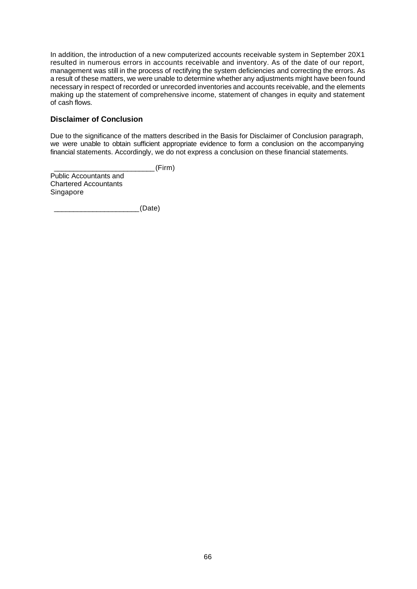In addition, the introduction of a new computerized accounts receivable system in September 20X1 resulted in numerous errors in accounts receivable and inventory. As of the date of our report, management was still in the process of rectifying the system deficiencies and correcting the errors. As a result of these matters, we were unable to determine whether any adjustments might have been found necessary in respect of recorded or unrecorded inventories and accounts receivable, and the elements making up the statement of comprehensive income, statement of changes in equity and statement of cash flows.

#### **Disclaimer of Conclusion**

Due to the significance of the matters described in the Basis for Disclaimer of Conclusion paragraph, we were unable to obtain sufficient appropriate evidence to form a conclusion on the accompanying financial statements. Accordingly, we do not express a conclusion on these financial statements.

 $(Firm)$ 

Public Accountants and Chartered Accountants Singapore

 $_$ (Date)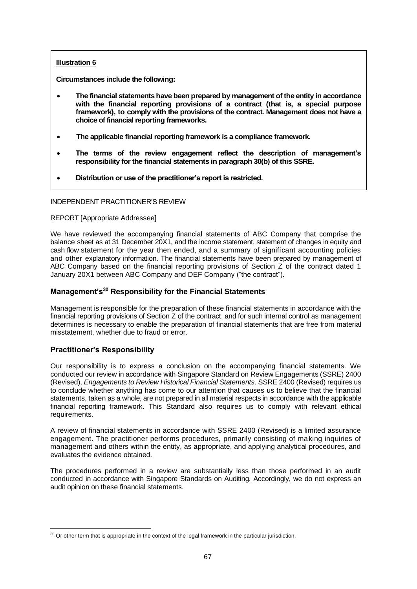#### **Illustration 6**

**Circumstances include the following:**

- **The financial statements have been prepared by management of the entity in accordance with the financial reporting provisions of a contract (that is, a special purpose framework), to comply with the provisions of the contract. Management does not have a choice of financial reporting frameworks.**
- .**The applicable financial reporting framework is a compliance framework.**
- **The terms of the review engagement reflect the description of management's responsibility for the financial statements in paragraph 30(b) of this SSRE.**
- **Distribution or use of the practitioner's report is restricted.**

#### INDEPENDENT PRACTITIONER'S REVIEW

#### REPORT [Appropriate Addressee]

We have reviewed the accompanying financial statements of ABC Company that comprise the balance sheet as at 31 December 20X1, and the income statement, statement of changes in equity and cash flow statement for the year then ended, and a summary of significant accounting policies and other explanatory information. The financial statements have been prepared by management of ABC Company based on the financial reporting provisions of Section Z of the contract dated 1 January 20X1 between ABC Company and DEF Company ("the contract").

## **Management's<sup>30</sup> Responsibility for the Financial Statements**

Management is responsible for the preparation of these financial statements in accordance with the financial reporting provisions of Section Z of the contract, and for such internal control as management determines is necessary to enable the preparation of financial statements that are free from material misstatement, whether due to fraud or error.

## **Practitioner's Responsibility**

Our responsibility is to express a conclusion on the accompanying financial statements. We conducted our review in accordance with Singapore Standard on Review Engagements (SSRE) 2400 (Revised), *Engagements to Review Historical Financial Statements*. SSRE 2400 (Revised) requires us to conclude whether anything has come to our attention that causes us to believe that the financial statements, taken as a whole, are not prepared in all material respects in accordance with the applicable financial reporting framework. This Standard also requires us to comply with relevant ethical requirements.

A review of financial statements in accordance with SSRE 2400 (Revised) is a limited assurance engagement. The practitioner performs procedures, primarily consisting of making inquiries of management and others within the entity, as appropriate, and applying analytical procedures, and evaluates the evidence obtained.

The procedures performed in a review are substantially less than those performed in an audit conducted in accordance with Singapore Standards on Auditing. Accordingly, we do not express an audit opinion on these financial statements.

<sup>&</sup>lt;sup>30</sup> Or other term that is appropriate in the context of the legal framework in the particular jurisdiction.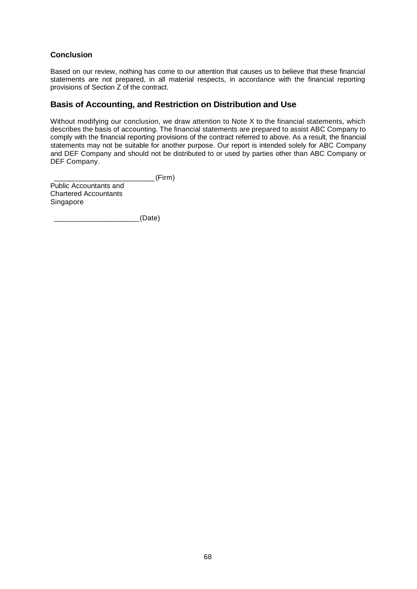## **Conclusion**

Based on our review, nothing has come to our attention that causes us to believe that these financial statements are not prepared, in all material respects, in accordance with the financial reporting provisions of Section Z of the contract.

## **Basis of Accounting, and Restriction on Distribution and Use**

Without modifying our conclusion, we draw attention to Note X to the financial statements, which describes the basis of accounting. The financial statements are prepared to assist ABC Company to comply with the financial reporting provisions of the contract referred to above. As a result, the financial statements may not be suitable for another purpose. Our report is intended solely for ABC Company and DEF Company and should not be distributed to or used by parties other than ABC Company or DEF Company.

 $(Firm)$ Public Accountants and Chartered Accountants Singapore

 $_$ (Date)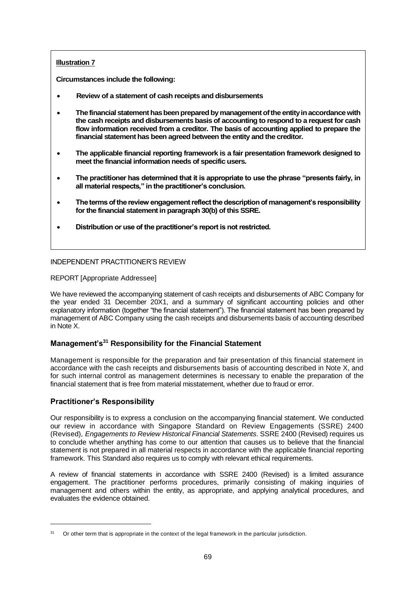### **Illustration 7**

**Circumstances include the following:**

- .**Review of a statement of cash receipts and disbursements**
- **The financial statement has been prepared by management of the entity in accordancewith the cash receipts and disbursements basis of accounting to respond to a request for cash flow information received from a creditor. The basis of accounting applied to prepare the financial statement has been agreed between the entity and the creditor.**
- **The applicable financial reporting framework is a fair presentation framework designed to meet the financial information needs of specific users.**
- **The practitioner has determined that it is appropriate to use the phrase "presents fairly, in all material respects," in the practitioner's conclusion.**
- **The terms of the review engagement reflect the description of management's responsibility for the financial statement in paragraph 30(b) of this SSRE.**
- **Distribution or use of the practitioner's report is not restricted.**

#### INDEPENDENT PRACTITIONER'S REVIEW

#### REPORT [Appropriate Addressee]

We have reviewed the accompanying statement of cash receipts and disbursements of ABC Company for the year ended 31 December 20X1, and a summary of significant accounting policies and other explanatory information (together "the financial statement"). The financial statement has been prepared by management of ABC Company using the cash receipts and disbursements basis of accounting described in Note X.

## **Management's<sup>31</sup> Responsibility for the Financial Statement**

Management is responsible for the preparation and fair presentation of this financial statement in accordance with the cash receipts and disbursements basis of accounting described in Note X, and for such internal control as management determines is necessary to enable the preparation of the financial statement that is free from material misstatement, whether due to fraud or error.

## **Practitioner's Responsibility**

Our responsibility is to express a conclusion on the accompanying financial statement. We conducted our review in accordance with Singapore Standard on Review Engagements (SSRE) 2400 (Revised), *Engagements to Review Historical Financial Statements*. SSRE 2400 (Revised) requires us to conclude whether anything has come to our attention that causes us to believe that the financial statement is not prepared in all material respects in accordance with the applicable financial reporting framework. This Standard also requires us to comply with relevant ethical requirements.

A review of financial statements in accordance with SSRE 2400 (Revised) is a limited assurance engagement. The practitioner performs procedures, primarily consisting of making inquiries of management and others within the entity, as appropriate, and applying analytical procedures, and evaluates the evidence obtained.

<sup>&</sup>lt;sup>31</sup> Or other term that is appropriate in the context of the legal framework in the particular jurisdiction.